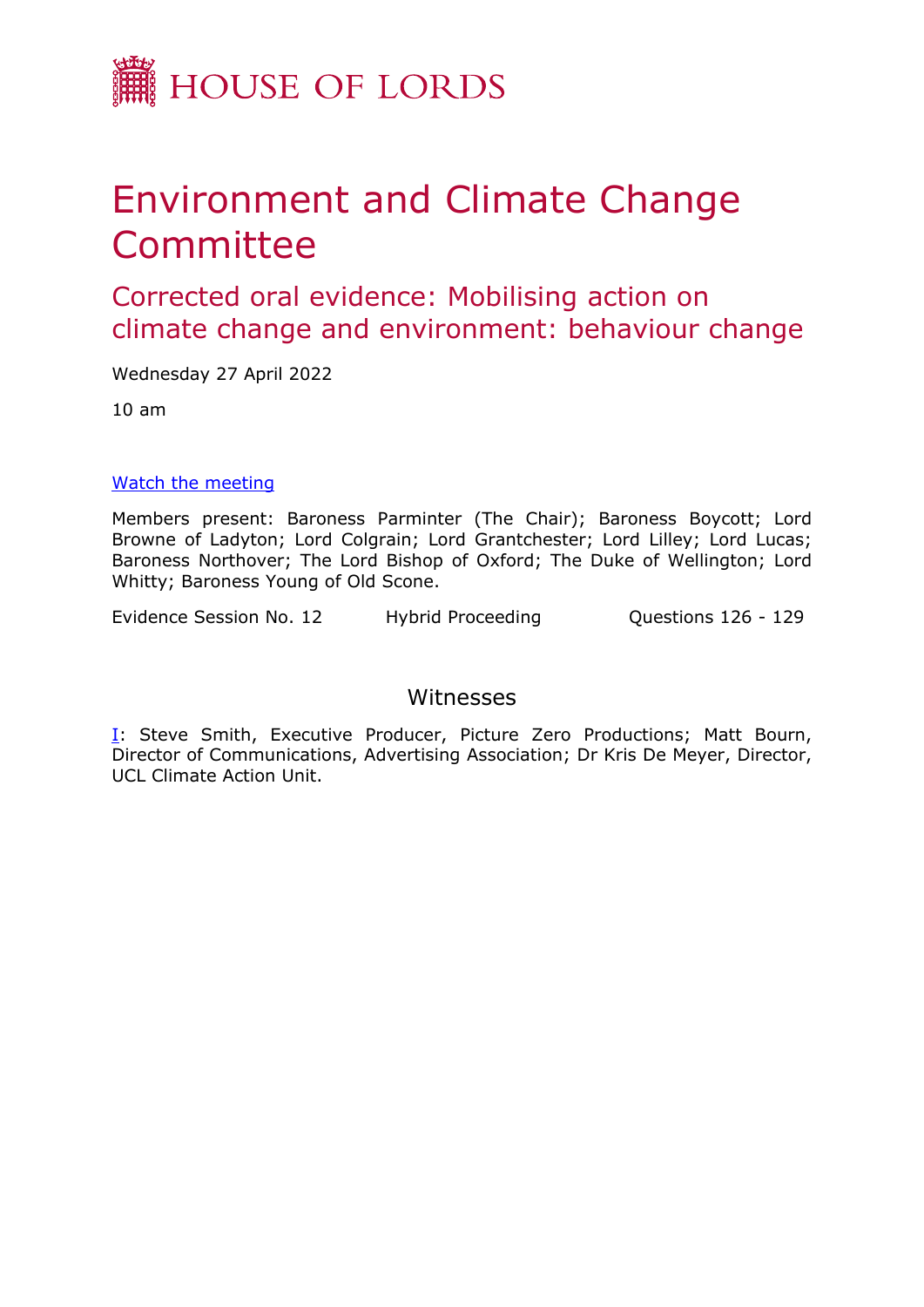

# Environment and Climate Change Committee

Corrected oral evidence: Mobilising action on climate change and environment: behaviour change

Wednesday 27 April 2022

10 am

## [Watch](https://parliamentlive.tv/event/index/1c0af37a-66a2-470a-b19b-8bffe8332f01) [the](https://parliamentlive.tv/event/index/1c0af37a-66a2-470a-b19b-8bffe8332f01) [meeting](https://parliamentlive.tv/event/index/1c0af37a-66a2-470a-b19b-8bffe8332f01)

Members present: Baroness Parminter (The Chair); Baroness Boycott; Lord Browne of Ladyton; Lord Colgrain; Lord Grantchester; Lord Lilley; Lord Lucas; Baroness Northover; The Lord Bishop of Oxford; The Duke of Wellington; Lord Whitty; Baroness Young of Old Scone.

Evidence Session No. 12 Hybrid Proceeding Cuestions 126 - 129

## Witnesses

[I:](#page-1-0) Steve Smith, Executive Producer, Picture Zero Productions; Matt Bourn, Director of Communications, Advertising Association; Dr Kris De Meyer, Director, UCL Climate Action Unit.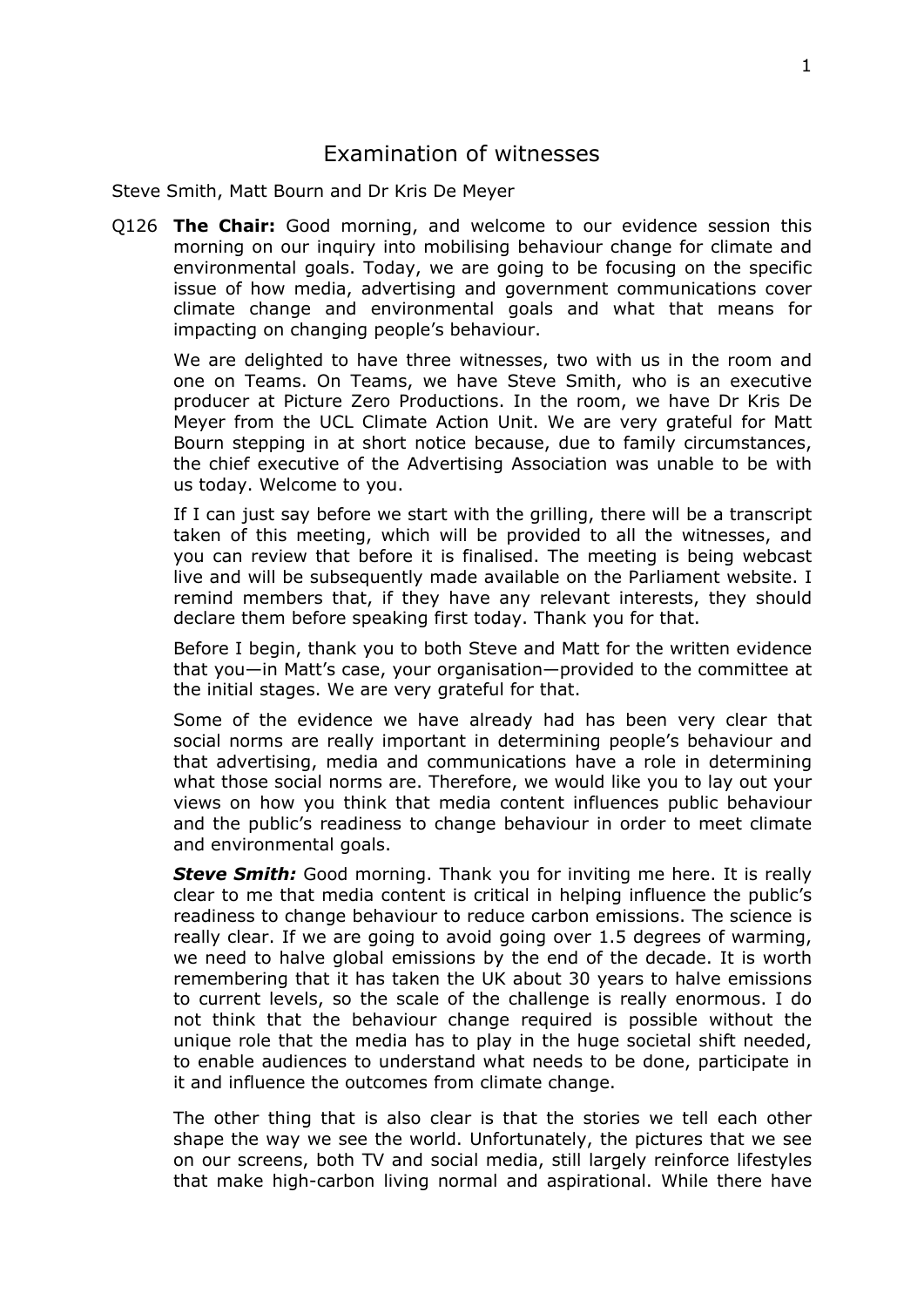## <span id="page-1-0"></span>Examination of witnesses

Steve Smith, Matt Bourn and Dr Kris De Meyer

Q126 **The Chair:** Good morning, and welcome to our evidence session this morning on our inquiry into mobilising behaviour change for climate and environmental goals. Today, we are going to be focusing on the specific issue of how media, advertising and government communications cover climate change and environmental goals and what that means for impacting on changing people's behaviour.

We are delighted to have three witnesses, two with us in the room and one on Teams. On Teams, we have Steve Smith, who is an executive producer at Picture Zero Productions. In the room, we have Dr Kris De Meyer from the UCL Climate Action Unit. We are very grateful for Matt Bourn stepping in at short notice because, due to family circumstances, the chief executive of the Advertising Association was unable to be with us today. Welcome to you.

If I can just say before we start with the grilling, there will be a transcript taken of this meeting, which will be provided to all the witnesses, and you can review that before it is finalised. The meeting is being webcast live and will be subsequently made available on the Parliament website. I remind members that, if they have any relevant interests, they should declare them before speaking first today. Thank you for that.

Before I begin, thank you to both Steve and Matt for the written evidence that you—in Matt's case, your organisation—provided to the committee at the initial stages. We are very grateful for that.

Some of the evidence we have already had has been very clear that social norms are really important in determining people's behaviour and that advertising, media and communications have a role in determining what those social norms are. Therefore, we would like you to lay out your views on how you think that media content influences public behaviour and the public's readiness to change behaviour in order to meet climate and environmental goals.

*Steve Smith:* Good morning. Thank you for inviting me here. It is really clear to me that media content is critical in helping influence the public's readiness to change behaviour to reduce carbon emissions. The science is really clear. If we are going to avoid going over 1.5 degrees of warming, we need to halve global emissions by the end of the decade. It is worth remembering that it has taken the UK about 30 years to halve emissions to current levels, so the scale of the challenge is really enormous. I do not think that the behaviour change required is possible without the unique role that the media has to play in the huge societal shift needed, to enable audiences to understand what needs to be done, participate in it and influence the outcomes from climate change.

The other thing that is also clear is that the stories we tell each other shape the way we see the world. Unfortunately, the pictures that we see on our screens, both TV and social media, still largely reinforce lifestyles that make high-carbon living normal and aspirational. While there have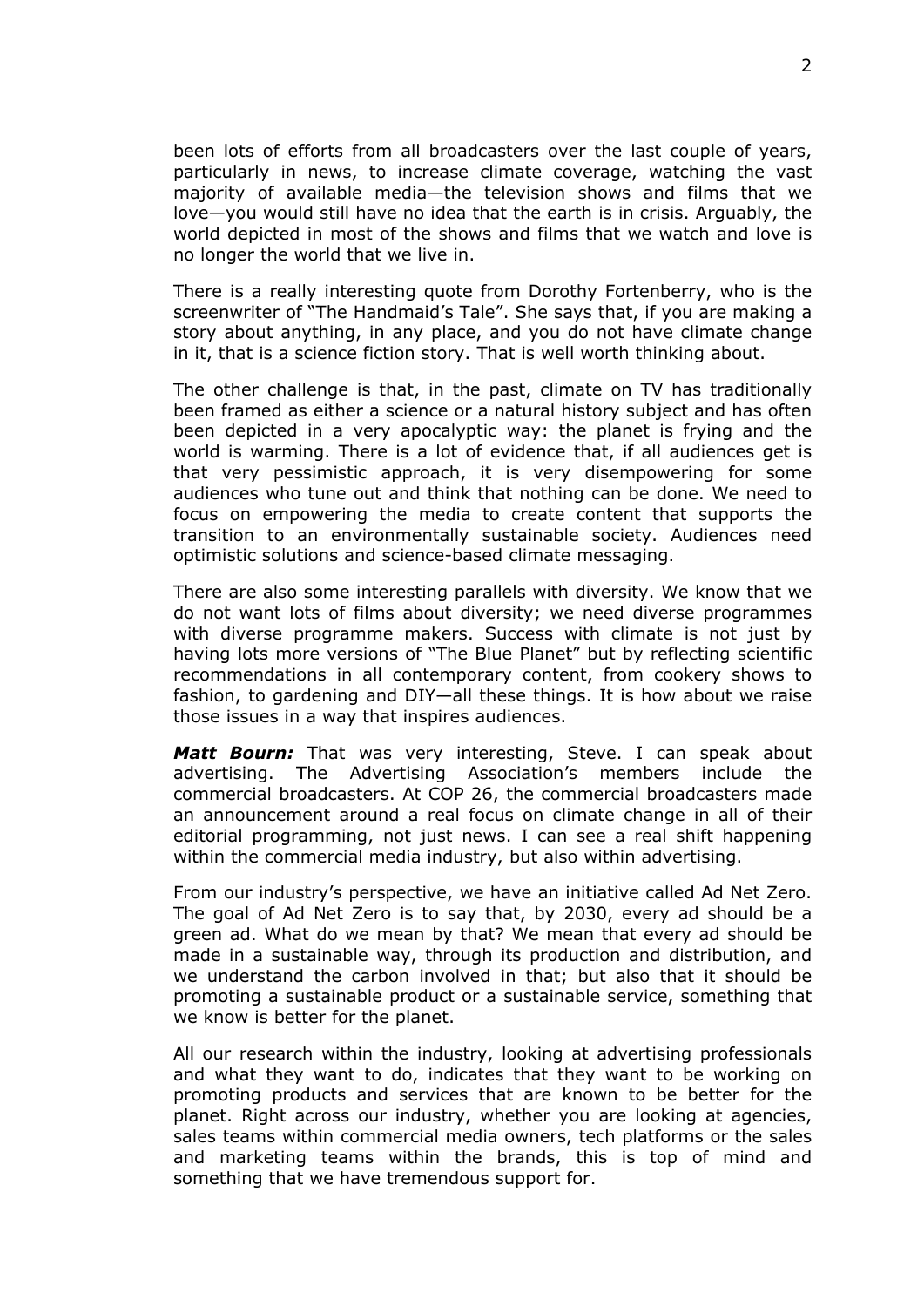been lots of efforts from all broadcasters over the last couple of years, particularly in news, to increase climate coverage, watching the vast majority of available media—the television shows and films that we love—you would still have no idea that the earth is in crisis. Arguably, the world depicted in most of the shows and films that we watch and love is no longer the world that we live in.

There is a really interesting quote from Dorothy Fortenberry, who is the screenwriter of "The Handmaid's Tale". She says that, if you are making a story about anything, in any place, and you do not have climate change in it, that is a science fiction story. That is well worth thinking about.

The other challenge is that, in the past, climate on TV has traditionally been framed as either a science or a natural history subject and has often been depicted in a very apocalyptic way: the planet is frying and the world is warming. There is a lot of evidence that, if all audiences get is that very pessimistic approach, it is very disempowering for some audiences who tune out and think that nothing can be done. We need to focus on empowering the media to create content that supports the transition to an environmentally sustainable society. Audiences need optimistic solutions and science-based climate messaging.

There are also some interesting parallels with diversity. We know that we do not want lots of films about diversity; we need diverse programmes with diverse programme makers. Success with climate is not just by having lots more versions of "The Blue Planet" but by reflecting scientific recommendations in all contemporary content, from cookery shows to fashion, to gardening and DIY—all these things. It is how about we raise those issues in a way that inspires audiences.

*Matt Bourn:* That was very interesting, Steve. I can speak about advertising. The Advertising Association's members include the commercial broadcasters. At COP 26, the commercial broadcasters made an announcement around a real focus on climate change in all of their editorial programming, not just news. I can see a real shift happening within the commercial media industry, but also within advertising.

From our industry's perspective, we have an initiative called Ad Net Zero. The goal of Ad Net Zero is to say that, by 2030, every ad should be a green ad. What do we mean by that? We mean that every ad should be made in a sustainable way, through its production and distribution, and we understand the carbon involved in that; but also that it should be promoting a sustainable product or a sustainable service, something that we know is better for the planet.

All our research within the industry, looking at advertising professionals and what they want to do, indicates that they want to be working on promoting products and services that are known to be better for the planet. Right across our industry, whether you are looking at agencies, sales teams within commercial media owners, tech platforms or the sales and marketing teams within the brands, this is top of mind and something that we have tremendous support for.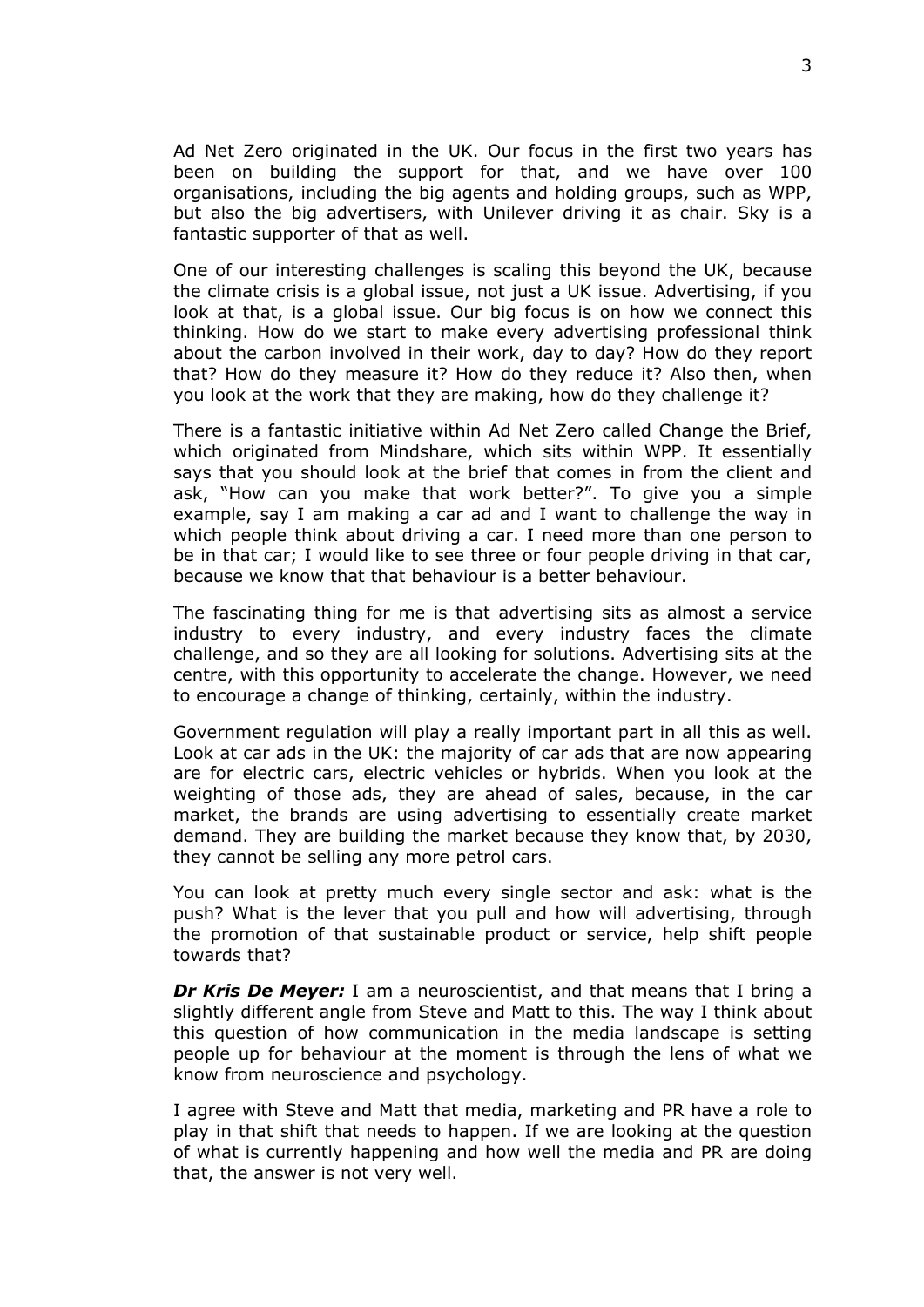Ad Net Zero originated in the UK. Our focus in the first two years has been on building the support for that, and we have over 100 organisations, including the big agents and holding groups, such as WPP, but also the big advertisers, with Unilever driving it as chair. Sky is a fantastic supporter of that as well.

One of our interesting challenges is scaling this beyond the UK, because the climate crisis is a global issue, not just a UK issue. Advertising, if you look at that, is a global issue. Our big focus is on how we connect this thinking. How do we start to make every advertising professional think about the carbon involved in their work, day to day? How do they report that? How do they measure it? How do they reduce it? Also then, when you look at the work that they are making, how do they challenge it?

There is a fantastic initiative within Ad Net Zero called Change the Brief, which originated from Mindshare, which sits within WPP. It essentially says that you should look at the brief that comes in from the client and ask, "How can you make that work better?". To give you a simple example, say I am making a car ad and I want to challenge the way in which people think about driving a car. I need more than one person to be in that car; I would like to see three or four people driving in that car, because we know that that behaviour is a better behaviour.

The fascinating thing for me is that advertising sits as almost a service industry to every industry, and every industry faces the climate challenge, and so they are all looking for solutions. Advertising sits at the centre, with this opportunity to accelerate the change. However, we need to encourage a change of thinking, certainly, within the industry.

Government regulation will play a really important part in all this as well. Look at car ads in the UK: the majority of car ads that are now appearing are for electric cars, electric vehicles or hybrids. When you look at the weighting of those ads, they are ahead of sales, because, in the car market, the brands are using advertising to essentially create market demand. They are building the market because they know that, by 2030, they cannot be selling any more petrol cars.

You can look at pretty much every single sector and ask: what is the push? What is the lever that you pull and how will advertising, through the promotion of that sustainable product or service, help shift people towards that?

*Dr Kris De Meyer:* I am a neuroscientist, and that means that I bring a slightly different angle from Steve and Matt to this. The way I think about this question of how communication in the media landscape is setting people up for behaviour at the moment is through the lens of what we know from neuroscience and psychology.

I agree with Steve and Matt that media, marketing and PR have a role to play in that shift that needs to happen. If we are looking at the question of what is currently happening and how well the media and PR are doing that, the answer is not very well.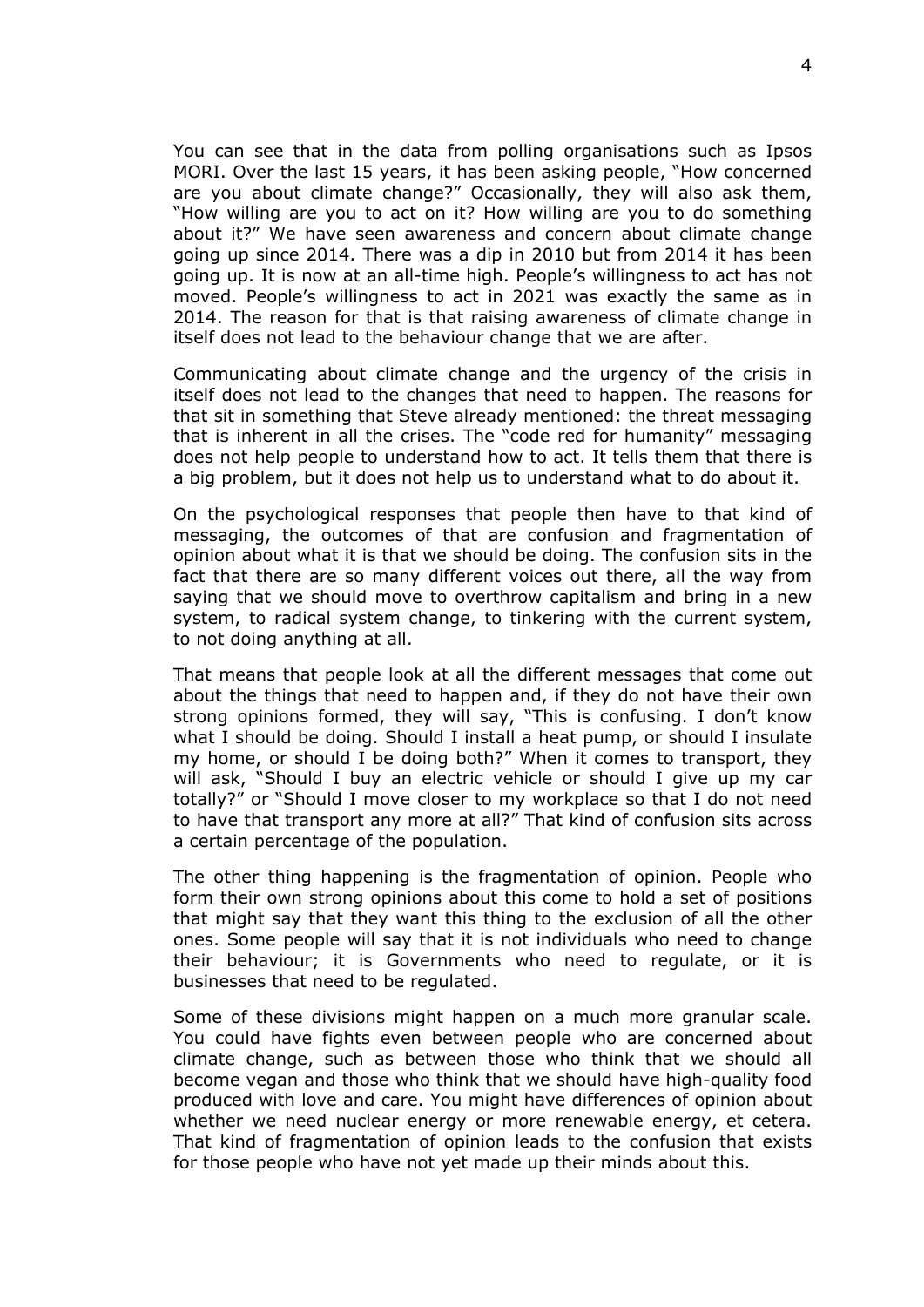You can see that in the data from polling organisations such as Ipsos MORI. Over the last 15 years, it has been asking people, "How concerned are you about climate change?" Occasionally, they will also ask them, "How willing are you to act on it? How willing are you to do something about it?" We have seen awareness and concern about climate change going up since 2014. There was a dip in 2010 but from 2014 it has been going up. It is now at an all-time high. People's willingness to act has not moved. People's willingness to act in 2021 was exactly the same as in 2014. The reason for that is that raising awareness of climate change in itself does not lead to the behaviour change that we are after.

Communicating about climate change and the urgency of the crisis in itself does not lead to the changes that need to happen. The reasons for that sit in something that Steve already mentioned: the threat messaging that is inherent in all the crises. The "code red for humanity" messaging does not help people to understand how to act. It tells them that there is a big problem, but it does not help us to understand what to do about it.

On the psychological responses that people then have to that kind of messaging, the outcomes of that are confusion and fragmentation of opinion about what it is that we should be doing. The confusion sits in the fact that there are so many different voices out there, all the way from saying that we should move to overthrow capitalism and bring in a new system, to radical system change, to tinkering with the current system, to not doing anything at all.

That means that people look at all the different messages that come out about the things that need to happen and, if they do not have their own strong opinions formed, they will say, "This is confusing. I don't know what I should be doing. Should I install a heat pump, or should I insulate my home, or should I be doing both?" When it comes to transport, they will ask, "Should I buy an electric vehicle or should I give up my car totally?" or "Should I move closer to my workplace so that I do not need to have that transport any more at all?" That kind of confusion sits across a certain percentage of the population.

The other thing happening is the fragmentation of opinion. People who form their own strong opinions about this come to hold a set of positions that might say that they want this thing to the exclusion of all the other ones. Some people will say that it is not individuals who need to change their behaviour; it is Governments who need to regulate, or it is businesses that need to be regulated.

Some of these divisions might happen on a much more granular scale. You could have fights even between people who are concerned about climate change, such as between those who think that we should all become vegan and those who think that we should have high-quality food produced with love and care. You might have differences of opinion about whether we need nuclear energy or more renewable energy, et cetera. That kind of fragmentation of opinion leads to the confusion that exists for those people who have not yet made up their minds about this.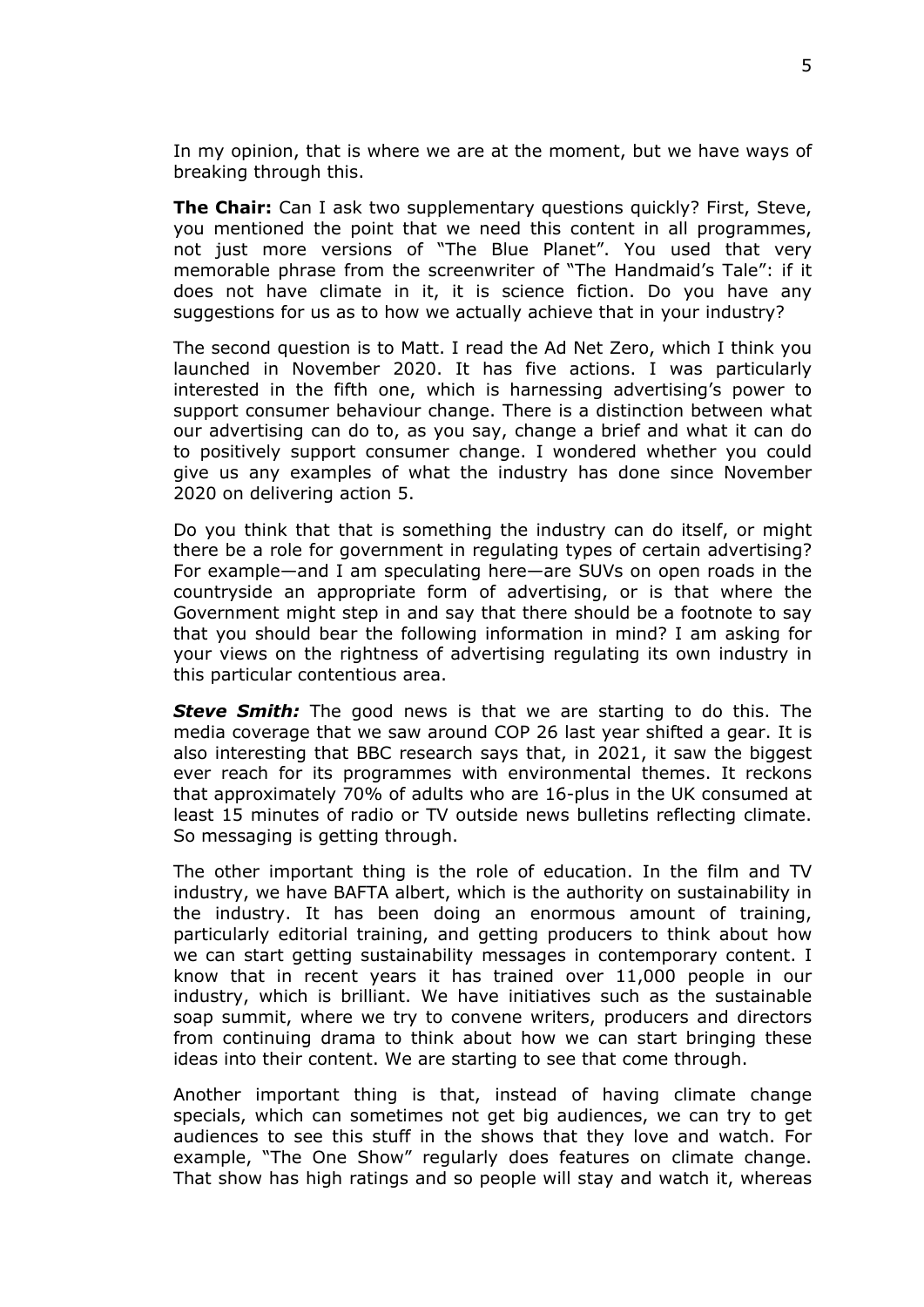In my opinion, that is where we are at the moment, but we have ways of breaking through this.

**The Chair:** Can I ask two supplementary questions quickly? First, Steve, you mentioned the point that we need this content in all programmes, not just more versions of "The Blue Planet". You used that very memorable phrase from the screenwriter of "The Handmaid's Tale": if it does not have climate in it, it is science fiction. Do you have any suggestions for us as to how we actually achieve that in your industry?

The second question is to Matt. I read the Ad Net Zero, which I think you launched in November 2020. It has five actions. I was particularly interested in the fifth one, which is harnessing advertising's power to support consumer behaviour change. There is a distinction between what our advertising can do to, as you say, change a brief and what it can do to positively support consumer change. I wondered whether you could give us any examples of what the industry has done since November 2020 on delivering action 5.

Do you think that that is something the industry can do itself, or might there be a role for government in regulating types of certain advertising? For example—and I am speculating here—are SUVs on open roads in the countryside an appropriate form of advertising, or is that where the Government might step in and say that there should be a footnote to say that you should bear the following information in mind? I am asking for your views on the rightness of advertising regulating its own industry in this particular contentious area.

*Steve Smith:* The good news is that we are starting to do this. The media coverage that we saw around COP 26 last year shifted a gear. It is also interesting that BBC research says that, in 2021, it saw the biggest ever reach for its programmes with environmental themes. It reckons that approximately 70% of adults who are 16-plus in the UK consumed at least 15 minutes of radio or TV outside news bulletins reflecting climate. So messaging is getting through.

The other important thing is the role of education. In the film and TV industry, we have BAFTA albert, which is the authority on sustainability in the industry. It has been doing an enormous amount of training, particularly editorial training, and getting producers to think about how we can start getting sustainability messages in contemporary content. I know that in recent years it has trained over 11,000 people in our industry, which is brilliant. We have initiatives such as the sustainable soap summit, where we try to convene writers, producers and directors from continuing drama to think about how we can start bringing these ideas into their content. We are starting to see that come through.

Another important thing is that, instead of having climate change specials, which can sometimes not get big audiences, we can try to get audiences to see this stuff in the shows that they love and watch. For example, "The One Show" regularly does features on climate change. That show has high ratings and so people will stay and watch it, whereas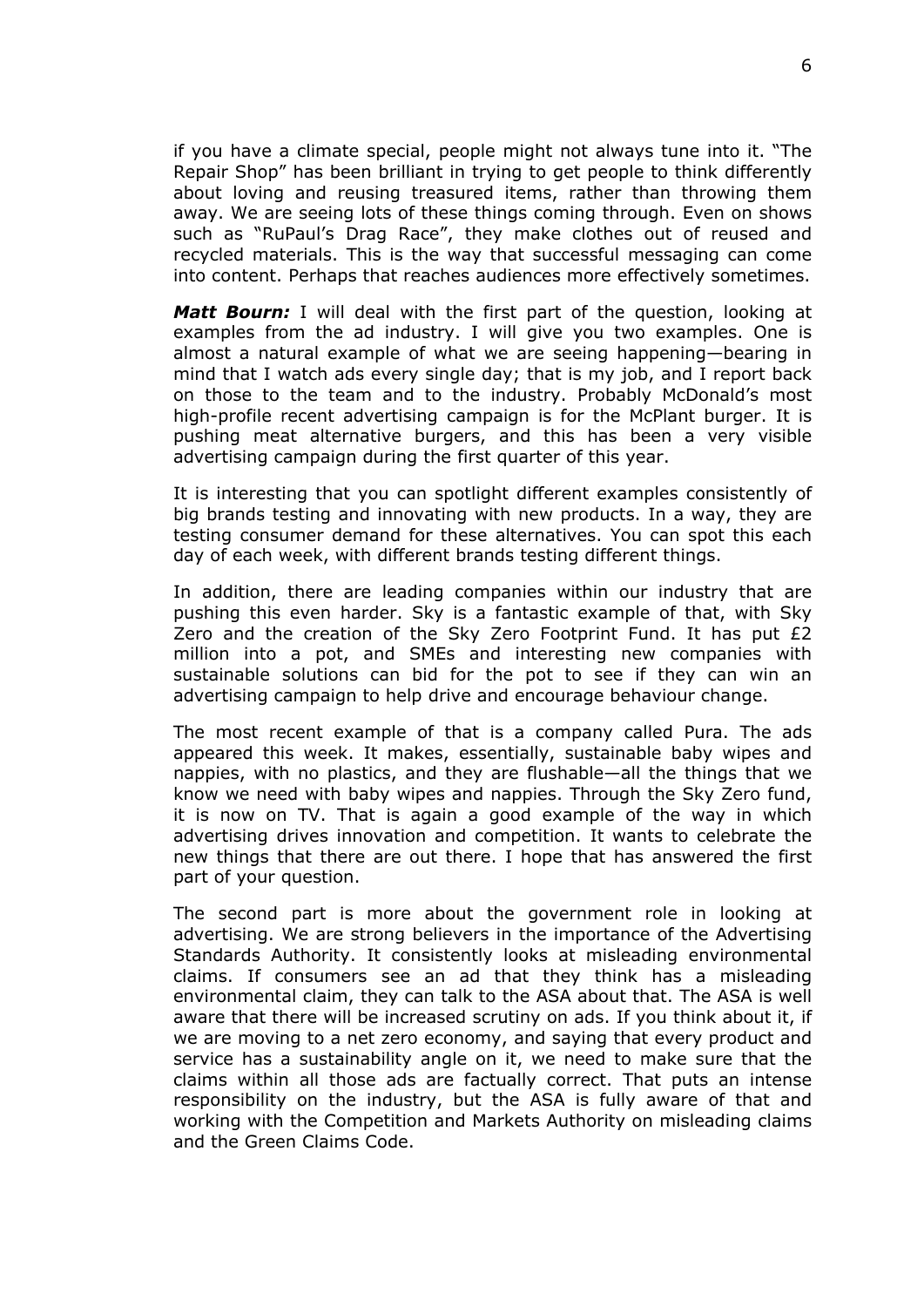if you have a climate special, people might not always tune into it. "The Repair Shop" has been brilliant in trying to get people to think differently about loving and reusing treasured items, rather than throwing them away. We are seeing lots of these things coming through. Even on shows such as "RuPaul's Drag Race", they make clothes out of reused and recycled materials. This is the way that successful messaging can come into content. Perhaps that reaches audiences more effectively sometimes.

*Matt Bourn:* I will deal with the first part of the question, looking at examples from the ad industry. I will give you two examples. One is almost a natural example of what we are seeing happening—bearing in mind that I watch ads every single day; that is my job, and I report back on those to the team and to the industry. Probably McDonald's most high-profile recent advertising campaign is for the McPlant burger. It is pushing meat alternative burgers, and this has been a very visible advertising campaign during the first quarter of this year.

It is interesting that you can spotlight different examples consistently of big brands testing and innovating with new products. In a way, they are testing consumer demand for these alternatives. You can spot this each day of each week, with different brands testing different things.

In addition, there are leading companies within our industry that are pushing this even harder. Sky is a fantastic example of that, with Sky Zero and the creation of the Sky Zero Footprint Fund. It has put £2 million into a pot, and SMEs and interesting new companies with sustainable solutions can bid for the pot to see if they can win an advertising campaign to help drive and encourage behaviour change.

The most recent example of that is a company called Pura. The ads appeared this week. It makes, essentially, sustainable baby wipes and nappies, with no plastics, and they are flushable—all the things that we know we need with baby wipes and nappies. Through the Sky Zero fund, it is now on TV. That is again a good example of the way in which advertising drives innovation and competition. It wants to celebrate the new things that there are out there. I hope that has answered the first part of your question.

The second part is more about the government role in looking at advertising. We are strong believers in the importance of the Advertising Standards Authority. It consistently looks at misleading environmental claims. If consumers see an ad that they think has a misleading environmental claim, they can talk to the ASA about that. The ASA is well aware that there will be increased scrutiny on ads. If you think about it, if we are moving to a net zero economy, and saying that every product and service has a sustainability angle on it, we need to make sure that the claims within all those ads are factually correct. That puts an intense responsibility on the industry, but the ASA is fully aware of that and working with the Competition and Markets Authority on misleading claims and the Green Claims Code.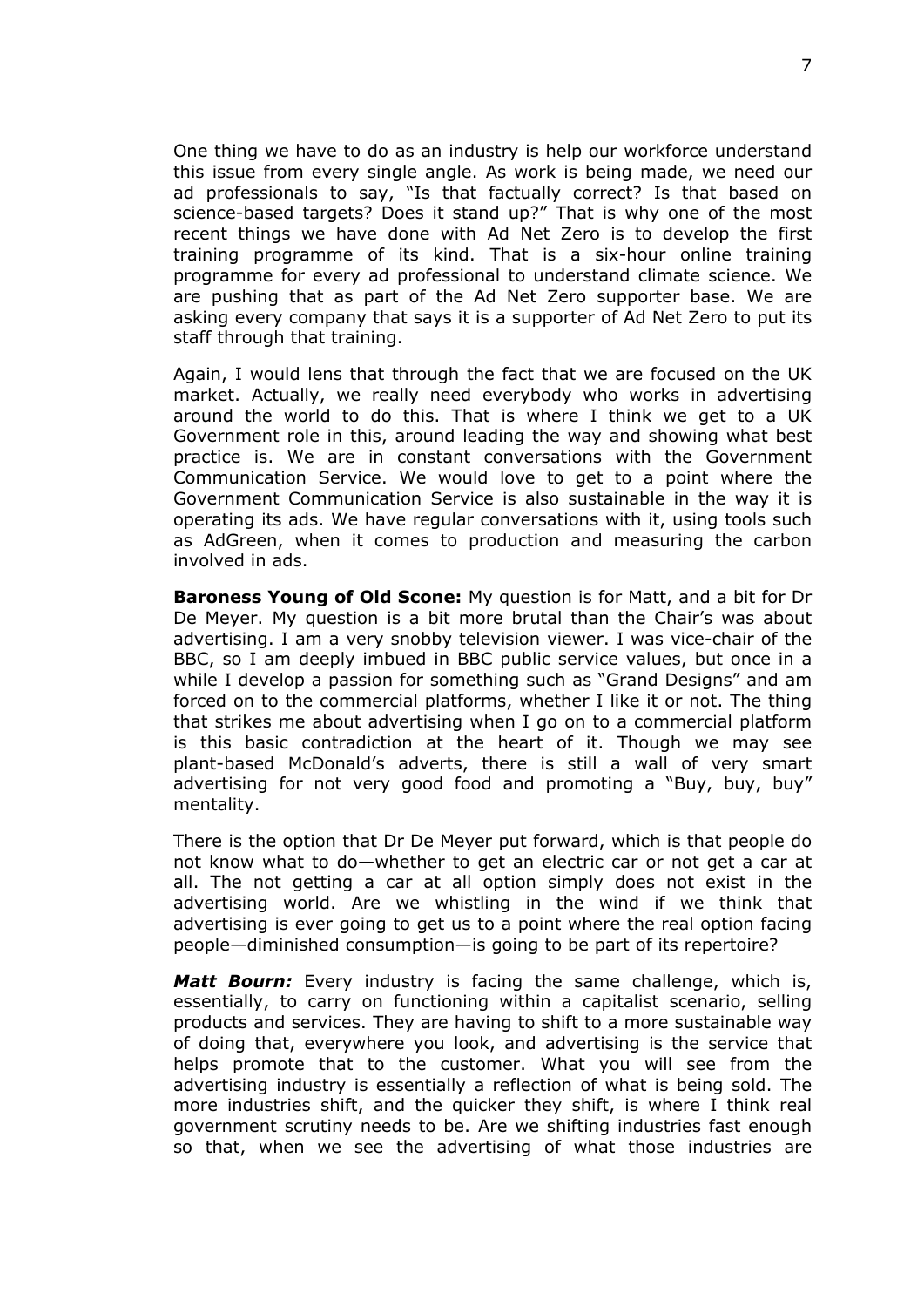One thing we have to do as an industry is help our workforce understand this issue from every single angle. As work is being made, we need our ad professionals to say, "Is that factually correct? Is that based on science-based targets? Does it stand up?" That is why one of the most recent things we have done with Ad Net Zero is to develop the first training programme of its kind. That is a six-hour online training programme for every ad professional to understand climate science. We are pushing that as part of the Ad Net Zero supporter base. We are asking every company that says it is a supporter of Ad Net Zero to put its staff through that training.

Again, I would lens that through the fact that we are focused on the UK market. Actually, we really need everybody who works in advertising around the world to do this. That is where I think we get to a UK Government role in this, around leading the way and showing what best practice is. We are in constant conversations with the Government Communication Service. We would love to get to a point where the Government Communication Service is also sustainable in the way it is operating its ads. We have regular conversations with it, using tools such as AdGreen, when it comes to production and measuring the carbon involved in ads.

**Baroness Young of Old Scone:** My question is for Matt, and a bit for Dr De Meyer. My question is a bit more brutal than the Chair's was about advertising. I am a very snobby television viewer. I was vice-chair of the BBC, so I am deeply imbued in BBC public service values, but once in a while I develop a passion for something such as "Grand Designs" and am forced on to the commercial platforms, whether I like it or not. The thing that strikes me about advertising when I go on to a commercial platform is this basic contradiction at the heart of it. Though we may see plant-based McDonald's adverts, there is still a wall of very smart advertising for not very good food and promoting a "Buy, buy, buy" mentality.

There is the option that Dr De Meyer put forward, which is that people do not know what to do—whether to get an electric car or not get a car at all. The not getting a car at all option simply does not exist in the advertising world. Are we whistling in the wind if we think that advertising is ever going to get us to a point where the real option facing people—diminished consumption—is going to be part of its repertoire?

*Matt Bourn:* Every industry is facing the same challenge, which is, essentially, to carry on functioning within a capitalist scenario, selling products and services. They are having to shift to a more sustainable way of doing that, everywhere you look, and advertising is the service that helps promote that to the customer. What you will see from the advertising industry is essentially a reflection of what is being sold. The more industries shift, and the quicker they shift, is where I think real government scrutiny needs to be. Are we shifting industries fast enough so that, when we see the advertising of what those industries are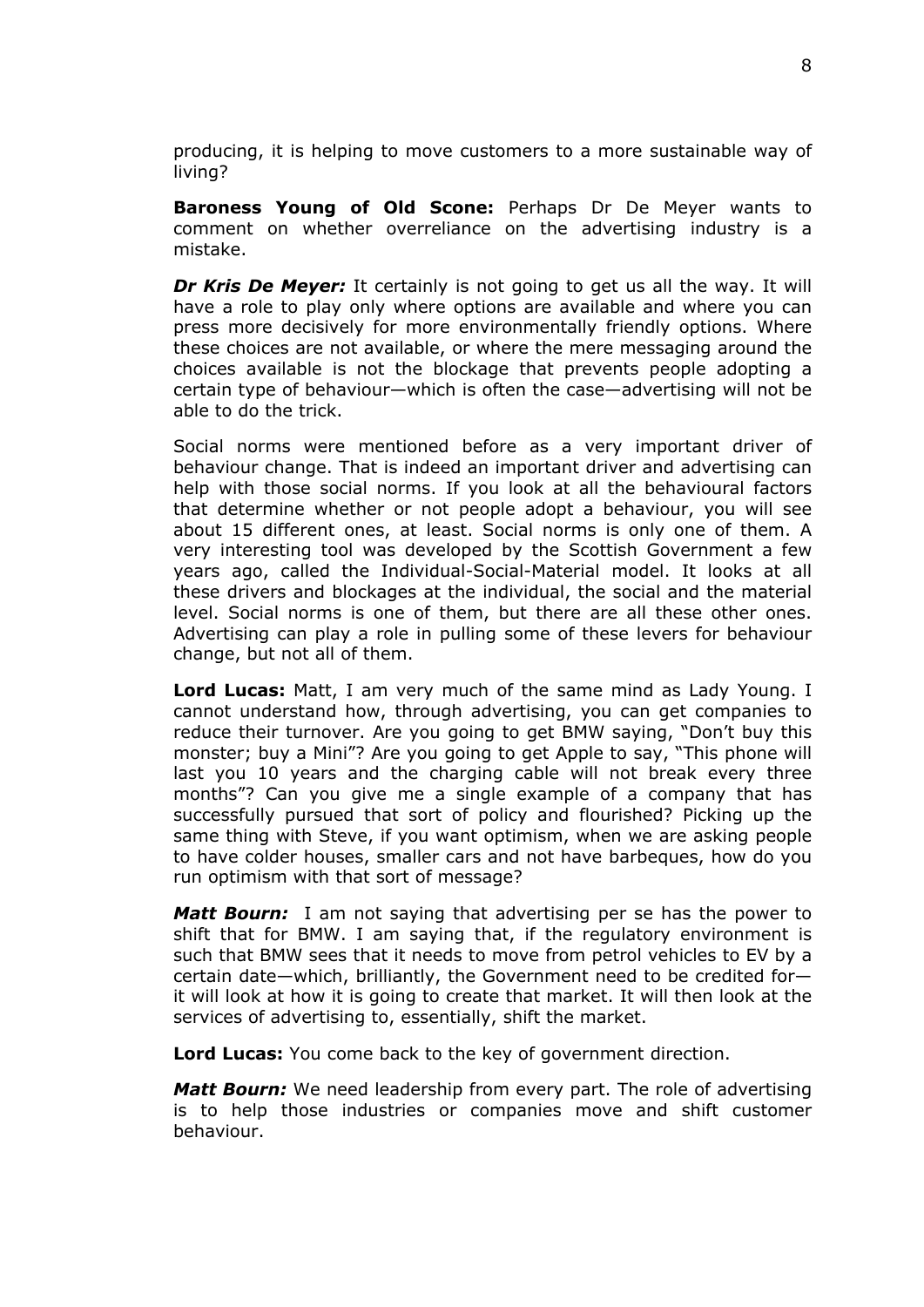producing, it is helping to move customers to a more sustainable way of living?

**Baroness Young of Old Scone:** Perhaps Dr De Meyer wants to comment on whether overreliance on the advertising industry is a mistake.

*Dr Kris De Meyer:* It certainly is not going to get us all the way. It will have a role to play only where options are available and where you can press more decisively for more environmentally friendly options. Where these choices are not available, or where the mere messaging around the choices available is not the blockage that prevents people adopting a certain type of behaviour—which is often the case—advertising will not be able to do the trick.

Social norms were mentioned before as a very important driver of behaviour change. That is indeed an important driver and advertising can help with those social norms. If you look at all the behavioural factors that determine whether or not people adopt a behaviour, you will see about 15 different ones, at least. Social norms is only one of them. A very interesting tool was developed by the Scottish Government a few years ago, called the Individual-Social-Material model. It looks at all these drivers and blockages at the individual, the social and the material level. Social norms is one of them, but there are all these other ones. Advertising can play a role in pulling some of these levers for behaviour change, but not all of them.

**Lord Lucas:** Matt, I am very much of the same mind as Lady Young. I cannot understand how, through advertising, you can get companies to reduce their turnover. Are you going to get BMW saying, "Don't buy this monster; buy a Mini"? Are you going to get Apple to say, "This phone will last you 10 years and the charging cable will not break every three months"? Can you give me a single example of a company that has successfully pursued that sort of policy and flourished? Picking up the same thing with Steve, if you want optimism, when we are asking people to have colder houses, smaller cars and not have barbeques, how do you run optimism with that sort of message?

*Matt Bourn:* I am not saying that advertising per se has the power to shift that for BMW. I am saying that, if the regulatory environment is such that BMW sees that it needs to move from petrol vehicles to EV by a certain date—which, brilliantly, the Government need to be credited for it will look at how it is going to create that market. It will then look at the services of advertising to, essentially, shift the market.

**Lord Lucas:** You come back to the key of government direction.

*Matt Bourn:* We need leadership from every part. The role of advertising is to help those industries or companies move and shift customer behaviour.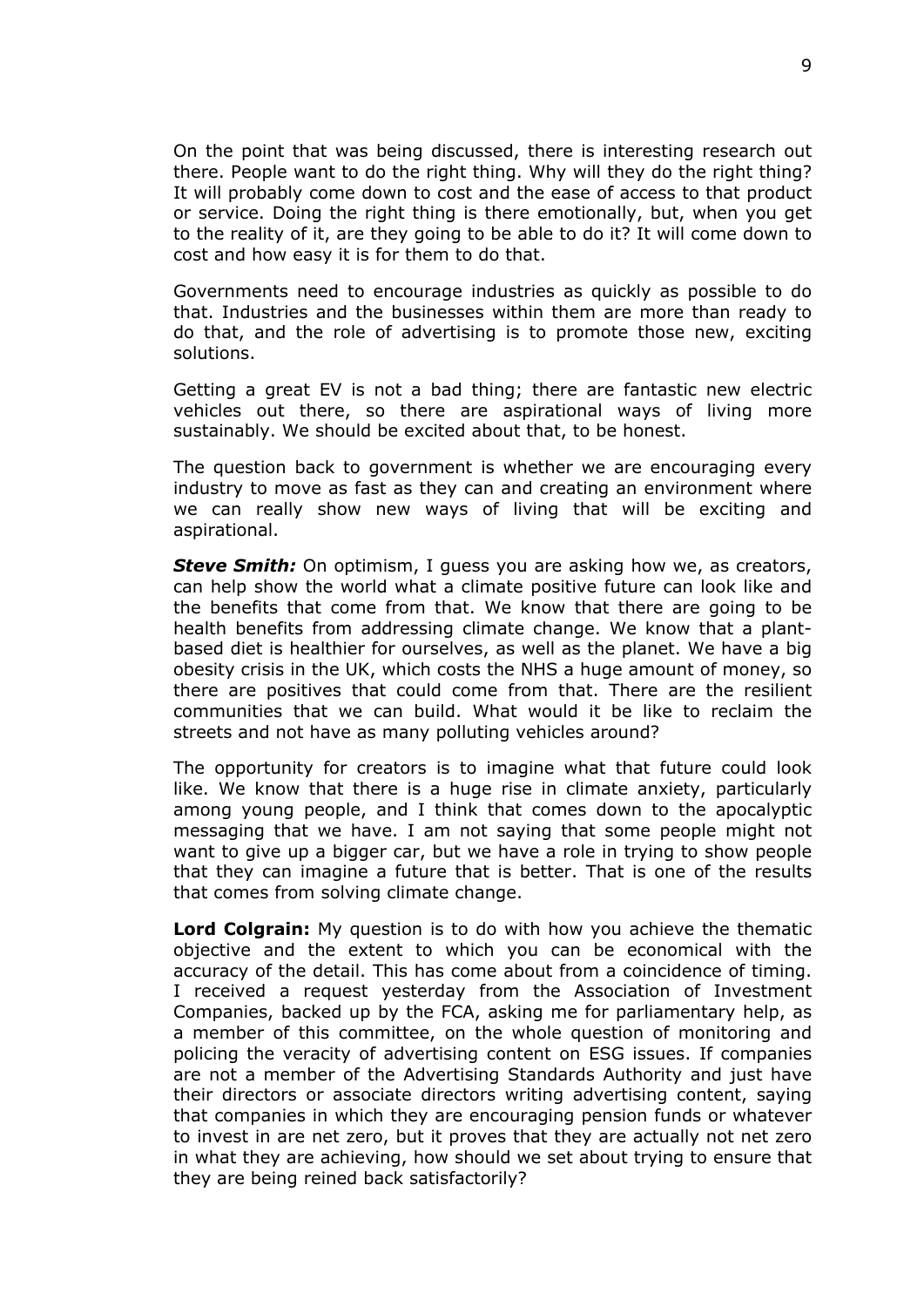On the point that was being discussed, there is interesting research out there. People want to do the right thing. Why will they do the right thing? It will probably come down to cost and the ease of access to that product or service. Doing the right thing is there emotionally, but, when you get to the reality of it, are they going to be able to do it? It will come down to cost and how easy it is for them to do that.

Governments need to encourage industries as quickly as possible to do that. Industries and the businesses within them are more than ready to do that, and the role of advertising is to promote those new, exciting solutions.

Getting a great EV is not a bad thing; there are fantastic new electric vehicles out there, so there are aspirational ways of living more sustainably. We should be excited about that, to be honest.

The question back to government is whether we are encouraging every industry to move as fast as they can and creating an environment where we can really show new ways of living that will be exciting and aspirational.

**Steve Smith:** On optimism, I guess you are asking how we, as creators, can help show the world what a climate positive future can look like and the benefits that come from that. We know that there are going to be health benefits from addressing climate change. We know that a plantbased diet is healthier for ourselves, as well as the planet. We have a big obesity crisis in the UK, which costs the NHS a huge amount of money, so there are positives that could come from that. There are the resilient communities that we can build. What would it be like to reclaim the streets and not have as many polluting vehicles around?

The opportunity for creators is to imagine what that future could look like. We know that there is a huge rise in climate anxiety, particularly among young people, and I think that comes down to the apocalyptic messaging that we have. I am not saying that some people might not want to give up a bigger car, but we have a role in trying to show people that they can imagine a future that is better. That is one of the results that comes from solving climate change.

**Lord Colgrain:** My question is to do with how you achieve the thematic objective and the extent to which you can be economical with the accuracy of the detail. This has come about from a coincidence of timing. I received a request yesterday from the Association of Investment Companies, backed up by the FCA, asking me for parliamentary help, as a member of this committee, on the whole question of monitoring and policing the veracity of advertising content on ESG issues. If companies are not a member of the Advertising Standards Authority and just have their directors or associate directors writing advertising content, saying that companies in which they are encouraging pension funds or whatever to invest in are net zero, but it proves that they are actually not net zero in what they are achieving, how should we set about trying to ensure that they are being reined back satisfactorily?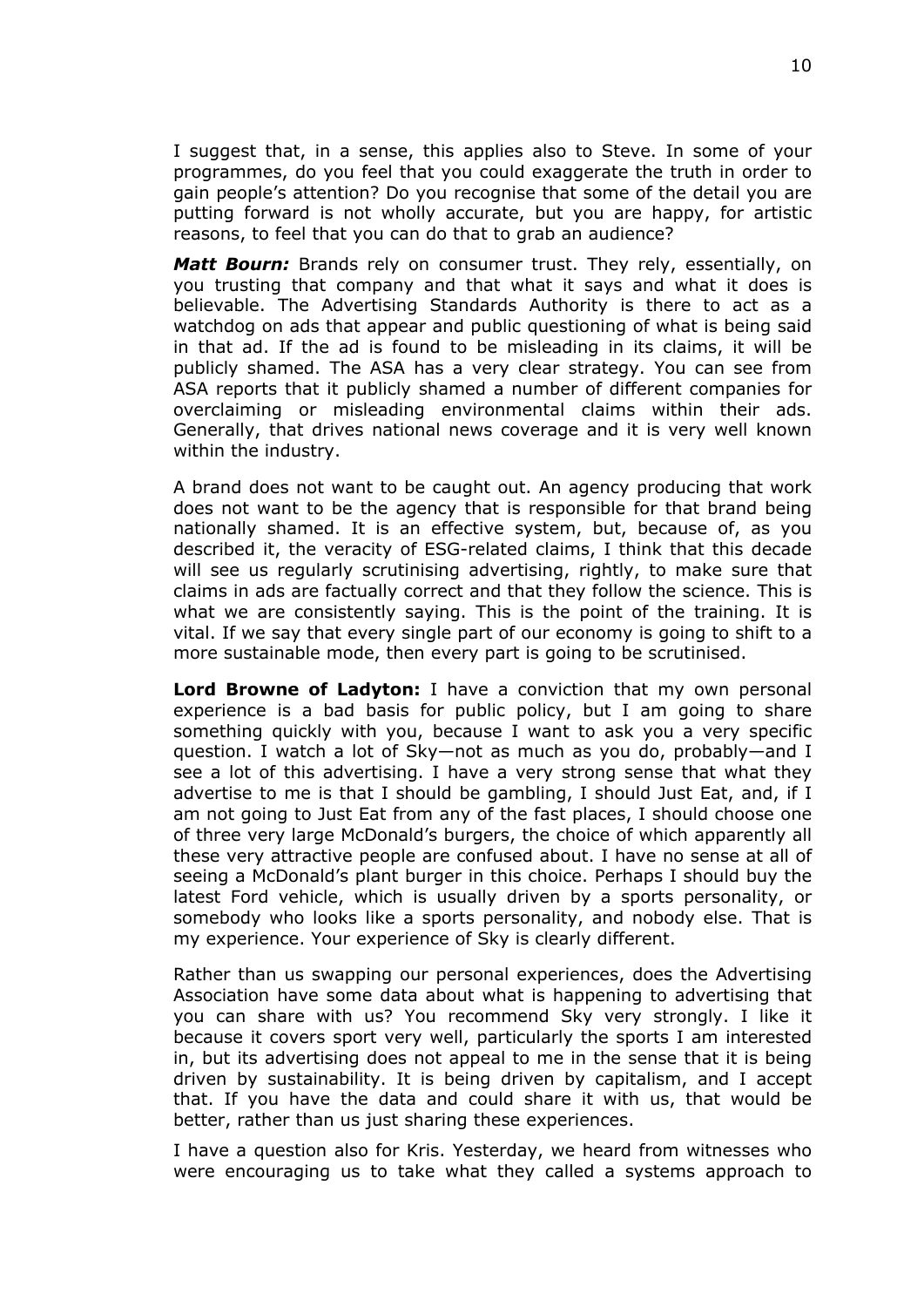I suggest that, in a sense, this applies also to Steve. In some of your programmes, do you feel that you could exaggerate the truth in order to gain people's attention? Do you recognise that some of the detail you are putting forward is not wholly accurate, but you are happy, for artistic reasons, to feel that you can do that to grab an audience?

*Matt Bourn:* Brands rely on consumer trust. They rely, essentially, on you trusting that company and that what it says and what it does is believable. The Advertising Standards Authority is there to act as a watchdog on ads that appear and public questioning of what is being said in that ad. If the ad is found to be misleading in its claims, it will be publicly shamed. The ASA has a very clear strategy. You can see from ASA reports that it publicly shamed a number of different companies for overclaiming or misleading environmental claims within their ads. Generally, that drives national news coverage and it is very well known within the industry.

A brand does not want to be caught out. An agency producing that work does not want to be the agency that is responsible for that brand being nationally shamed. It is an effective system, but, because of, as you described it, the veracity of ESG-related claims, I think that this decade will see us regularly scrutinising advertising, rightly, to make sure that claims in ads are factually correct and that they follow the science. This is what we are consistently saying. This is the point of the training. It is vital. If we say that every single part of our economy is going to shift to a more sustainable mode, then every part is going to be scrutinised.

**Lord Browne of Ladyton:** I have a conviction that my own personal experience is a bad basis for public policy, but I am going to share something quickly with you, because I want to ask you a very specific question. I watch a lot of Sky—not as much as you do, probably—and I see a lot of this advertising. I have a very strong sense that what they advertise to me is that I should be gambling, I should Just Eat, and, if I am not going to Just Eat from any of the fast places, I should choose one of three very large McDonald's burgers, the choice of which apparently all these very attractive people are confused about. I have no sense at all of seeing a McDonald's plant burger in this choice. Perhaps I should buy the latest Ford vehicle, which is usually driven by a sports personality, or somebody who looks like a sports personality, and nobody else. That is my experience. Your experience of Sky is clearly different.

Rather than us swapping our personal experiences, does the Advertising Association have some data about what is happening to advertising that you can share with us? You recommend Sky very strongly. I like it because it covers sport very well, particularly the sports I am interested in, but its advertising does not appeal to me in the sense that it is being driven by sustainability. It is being driven by capitalism, and I accept that. If you have the data and could share it with us, that would be better, rather than us just sharing these experiences.

I have a question also for Kris. Yesterday, we heard from witnesses who were encouraging us to take what they called a systems approach to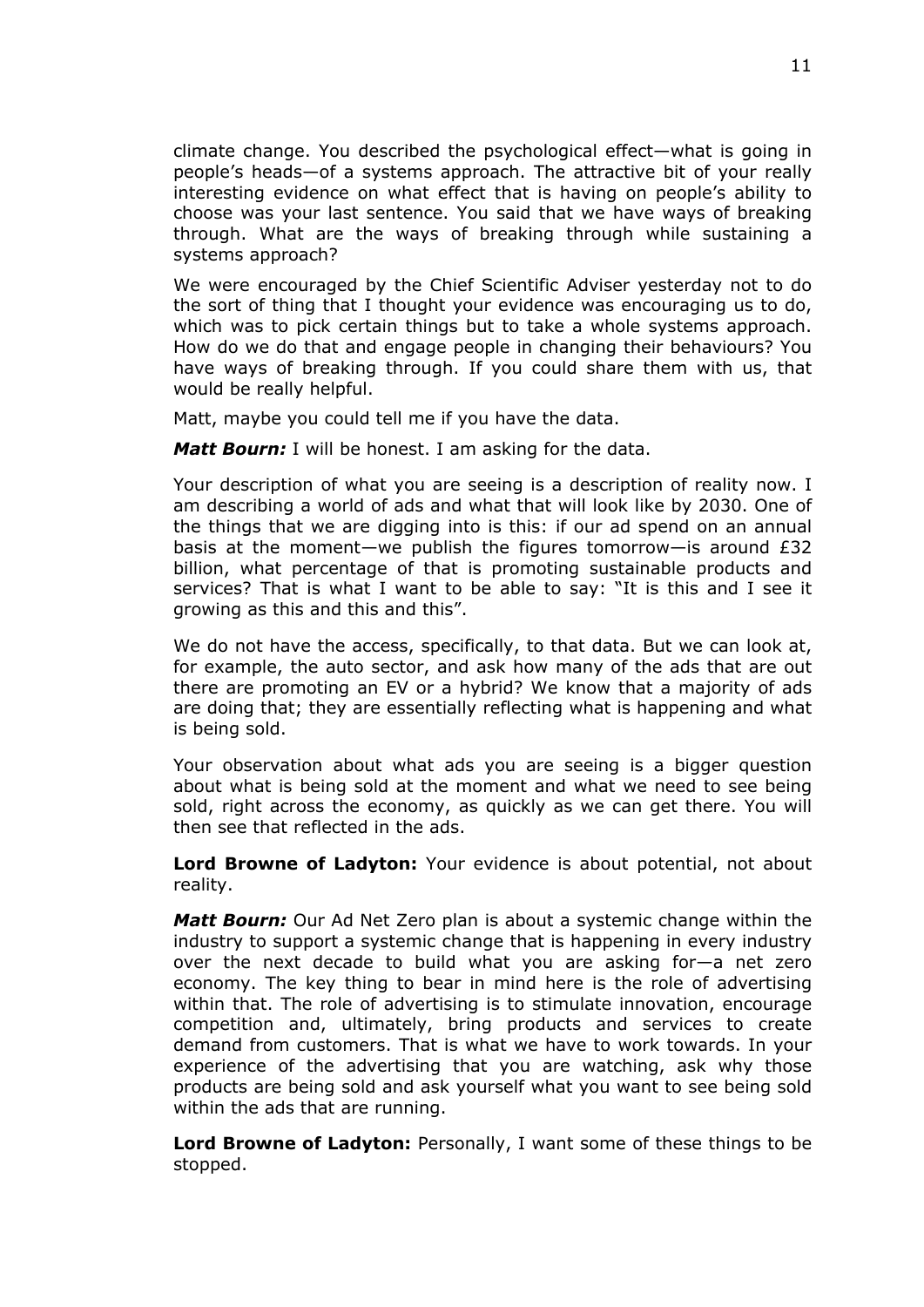climate change. You described the psychological effect—what is going in people's heads—of a systems approach. The attractive bit of your really interesting evidence on what effect that is having on people's ability to choose was your last sentence. You said that we have ways of breaking through. What are the ways of breaking through while sustaining a systems approach?

We were encouraged by the Chief Scientific Adviser yesterday not to do the sort of thing that I thought your evidence was encouraging us to do, which was to pick certain things but to take a whole systems approach. How do we do that and engage people in changing their behaviours? You have ways of breaking through. If you could share them with us, that would be really helpful.

Matt, maybe you could tell me if you have the data.

*Matt Bourn:* I will be honest. I am asking for the data.

Your description of what you are seeing is a description of reality now. I am describing a world of ads and what that will look like by 2030. One of the things that we are digging into is this: if our ad spend on an annual basis at the moment—we publish the figures tomorrow—is around  $E32$ billion, what percentage of that is promoting sustainable products and services? That is what I want to be able to say: "It is this and I see it growing as this and this and this".

We do not have the access, specifically, to that data. But we can look at, for example, the auto sector, and ask how many of the ads that are out there are promoting an EV or a hybrid? We know that a majority of ads are doing that; they are essentially reflecting what is happening and what is being sold.

Your observation about what ads you are seeing is a bigger question about what is being sold at the moment and what we need to see being sold, right across the economy, as quickly as we can get there. You will then see that reflected in the ads.

**Lord Browne of Ladyton:** Your evidence is about potential, not about reality.

*Matt Bourn:* Our Ad Net Zero plan is about a systemic change within the industry to support a systemic change that is happening in every industry over the next decade to build what you are asking for—a net zero economy. The key thing to bear in mind here is the role of advertising within that. The role of advertising is to stimulate innovation, encourage competition and, ultimately, bring products and services to create demand from customers. That is what we have to work towards. In your experience of the advertising that you are watching, ask why those products are being sold and ask yourself what you want to see being sold within the ads that are running.

**Lord Browne of Ladyton:** Personally, I want some of these things to be stopped.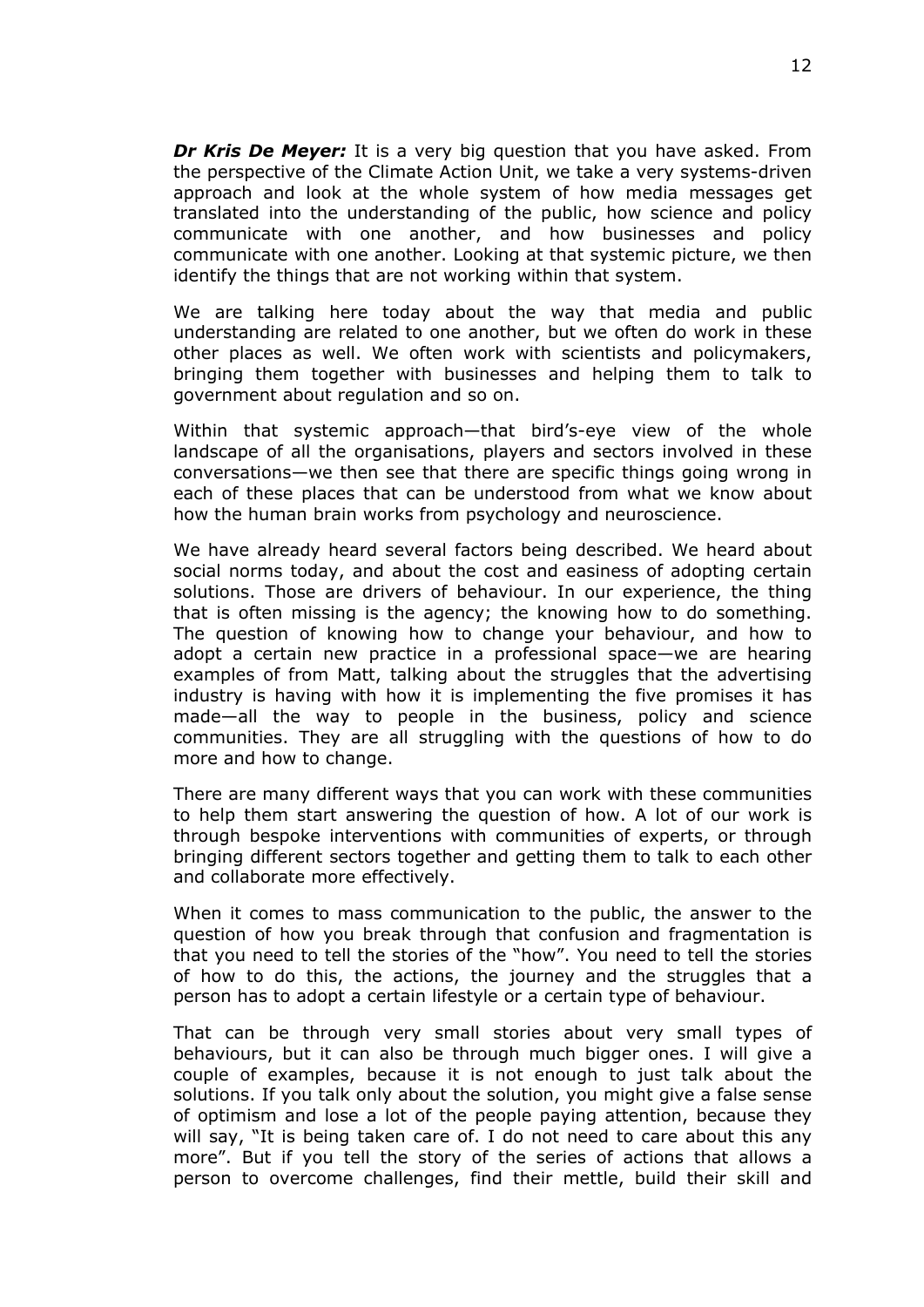*Dr Kris De Meyer:* It is a very big question that you have asked. From the perspective of the Climate Action Unit, we take a very systems-driven approach and look at the whole system of how media messages get translated into the understanding of the public, how science and policy communicate with one another, and how businesses and policy communicate with one another. Looking at that systemic picture, we then identify the things that are not working within that system.

We are talking here today about the way that media and public understanding are related to one another, but we often do work in these other places as well. We often work with scientists and policymakers, bringing them together with businesses and helping them to talk to government about regulation and so on.

Within that systemic approach—that bird's-eye view of the whole landscape of all the organisations, players and sectors involved in these conversations—we then see that there are specific things going wrong in each of these places that can be understood from what we know about how the human brain works from psychology and neuroscience.

We have already heard several factors being described. We heard about social norms today, and about the cost and easiness of adopting certain solutions. Those are drivers of behaviour. In our experience, the thing that is often missing is the agency; the knowing how to do something. The question of knowing how to change your behaviour, and how to adopt a certain new practice in a professional space—we are hearing examples of from Matt, talking about the struggles that the advertising industry is having with how it is implementing the five promises it has made—all the way to people in the business, policy and science communities. They are all struggling with the questions of how to do more and how to change.

There are many different ways that you can work with these communities to help them start answering the question of how. A lot of our work is through bespoke interventions with communities of experts, or through bringing different sectors together and getting them to talk to each other and collaborate more effectively.

When it comes to mass communication to the public, the answer to the question of how you break through that confusion and fragmentation is that you need to tell the stories of the "how". You need to tell the stories of how to do this, the actions, the journey and the struggles that a person has to adopt a certain lifestyle or a certain type of behaviour.

That can be through very small stories about very small types of behaviours, but it can also be through much bigger ones. I will give a couple of examples, because it is not enough to just talk about the solutions. If you talk only about the solution, you might give a false sense of optimism and lose a lot of the people paying attention, because they will say, "It is being taken care of. I do not need to care about this any more". But if you tell the story of the series of actions that allows a person to overcome challenges, find their mettle, build their skill and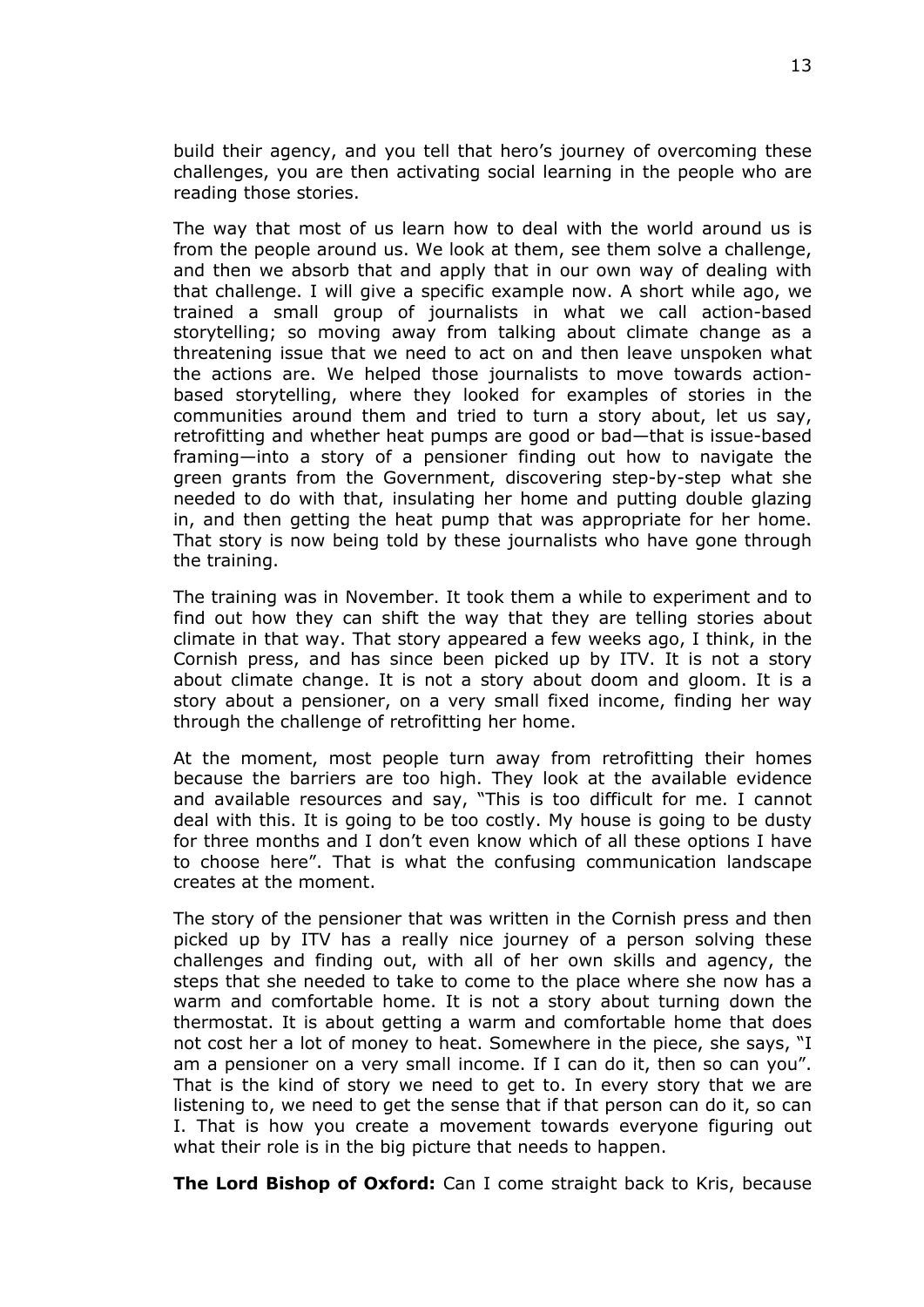build their agency, and you tell that hero's journey of overcoming these challenges, you are then activating social learning in the people who are reading those stories.

The way that most of us learn how to deal with the world around us is from the people around us. We look at them, see them solve a challenge, and then we absorb that and apply that in our own way of dealing with that challenge. I will give a specific example now. A short while ago, we trained a small group of journalists in what we call action-based storytelling; so moving away from talking about climate change as a threatening issue that we need to act on and then leave unspoken what the actions are. We helped those journalists to move towards actionbased storytelling, where they looked for examples of stories in the communities around them and tried to turn a story about, let us say, retrofitting and whether heat pumps are good or bad—that is issue-based framing—into a story of a pensioner finding out how to navigate the green grants from the Government, discovering step-by-step what she needed to do with that, insulating her home and putting double glazing in, and then getting the heat pump that was appropriate for her home. That story is now being told by these journalists who have gone through the training.

The training was in November. It took them a while to experiment and to find out how they can shift the way that they are telling stories about climate in that way. That story appeared a few weeks ago, I think, in the Cornish press, and has since been picked up by ITV. It is not a story about climate change. It is not a story about doom and gloom. It is a story about a pensioner, on a very small fixed income, finding her way through the challenge of retrofitting her home.

At the moment, most people turn away from retrofitting their homes because the barriers are too high. They look at the available evidence and available resources and say, "This is too difficult for me. I cannot deal with this. It is going to be too costly. My house is going to be dusty for three months and I don't even know which of all these options I have to choose here". That is what the confusing communication landscape creates at the moment.

The story of the pensioner that was written in the Cornish press and then picked up by ITV has a really nice journey of a person solving these challenges and finding out, with all of her own skills and agency, the steps that she needed to take to come to the place where she now has a warm and comfortable home. It is not a story about turning down the thermostat. It is about getting a warm and comfortable home that does not cost her a lot of money to heat. Somewhere in the piece, she says, "I am a pensioner on a very small income. If I can do it, then so can you". That is the kind of story we need to get to. In every story that we are listening to, we need to get the sense that if that person can do it, so can I. That is how you create a movement towards everyone figuring out what their role is in the big picture that needs to happen.

**The Lord Bishop of Oxford:** Can I come straight back to Kris, because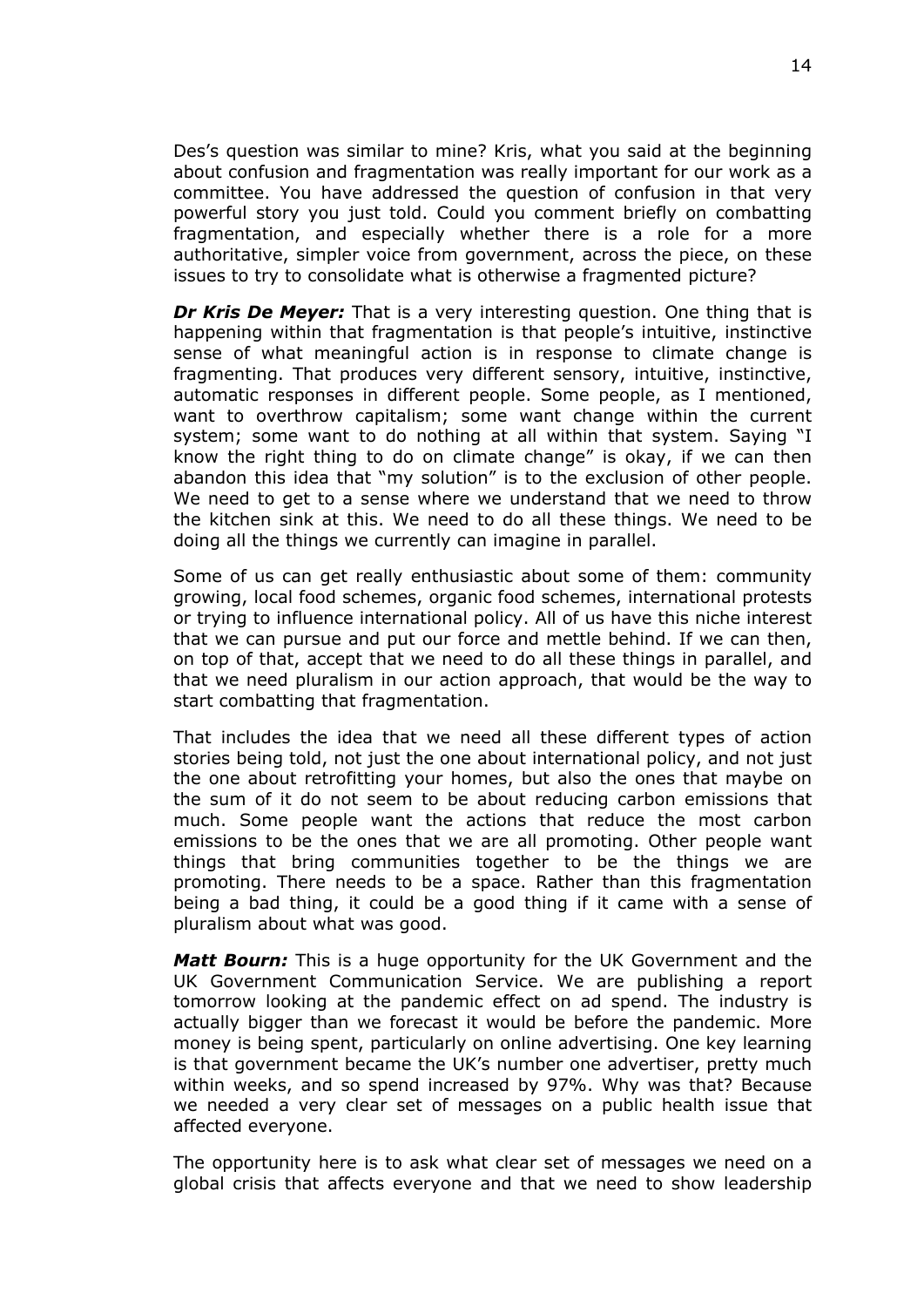Des's question was similar to mine? Kris, what you said at the beginning about confusion and fragmentation was really important for our work as a committee. You have addressed the question of confusion in that very powerful story you just told. Could you comment briefly on combatting fragmentation, and especially whether there is a role for a more authoritative, simpler voice from government, across the piece, on these issues to try to consolidate what is otherwise a fragmented picture?

*Dr Kris De Meyer:* That is a very interesting question. One thing that is happening within that fragmentation is that people's intuitive, instinctive sense of what meaningful action is in response to climate change is fragmenting. That produces very different sensory, intuitive, instinctive, automatic responses in different people. Some people, as I mentioned, want to overthrow capitalism; some want change within the current system; some want to do nothing at all within that system. Saying "I know the right thing to do on climate change" is okay, if we can then abandon this idea that "my solution" is to the exclusion of other people. We need to get to a sense where we understand that we need to throw the kitchen sink at this. We need to do all these things. We need to be doing all the things we currently can imagine in parallel.

Some of us can get really enthusiastic about some of them: community growing, local food schemes, organic food schemes, international protests or trying to influence international policy. All of us have this niche interest that we can pursue and put our force and mettle behind. If we can then, on top of that, accept that we need to do all these things in parallel, and that we need pluralism in our action approach, that would be the way to start combatting that fragmentation.

That includes the idea that we need all these different types of action stories being told, not just the one about international policy, and not just the one about retrofitting your homes, but also the ones that maybe on the sum of it do not seem to be about reducing carbon emissions that much. Some people want the actions that reduce the most carbon emissions to be the ones that we are all promoting. Other people want things that bring communities together to be the things we are promoting. There needs to be a space. Rather than this fragmentation being a bad thing, it could be a good thing if it came with a sense of pluralism about what was good.

*Matt Bourn:* This is a huge opportunity for the UK Government and the UK Government Communication Service. We are publishing a report tomorrow looking at the pandemic effect on ad spend. The industry is actually bigger than we forecast it would be before the pandemic. More money is being spent, particularly on online advertising. One key learning is that government became the UK's number one advertiser, pretty much within weeks, and so spend increased by 97%. Why was that? Because we needed a very clear set of messages on a public health issue that affected everyone.

The opportunity here is to ask what clear set of messages we need on a global crisis that affects everyone and that we need to show leadership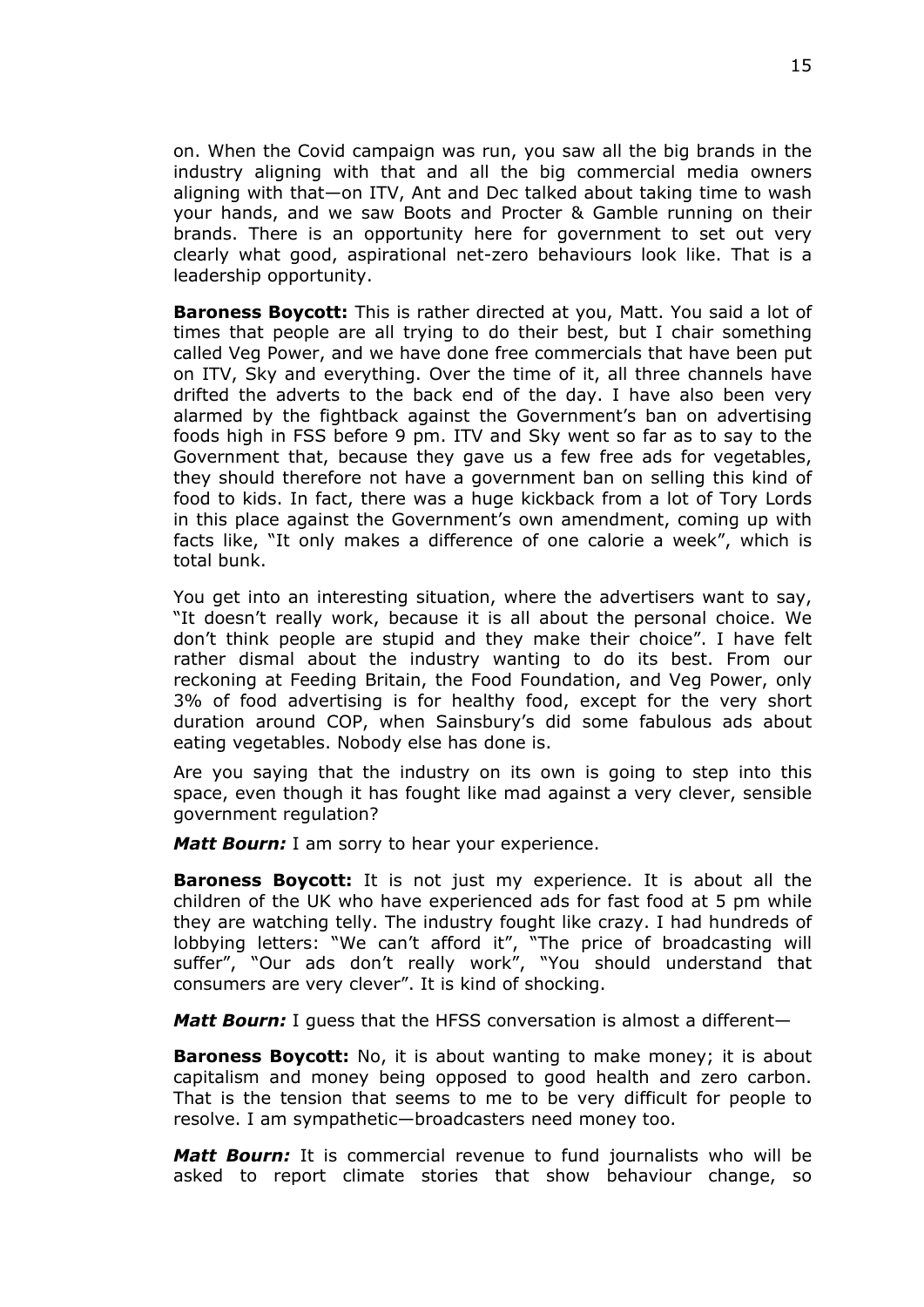on. When the Covid campaign was run, you saw all the big brands in the industry aligning with that and all the big commercial media owners aligning with that—on ITV, Ant and Dec talked about taking time to wash your hands, and we saw Boots and Procter & Gamble running on their brands. There is an opportunity here for government to set out very clearly what good, aspirational net-zero behaviours look like. That is a leadership opportunity.

**Baroness Boycott:** This is rather directed at you, Matt. You said a lot of times that people are all trying to do their best, but I chair something called Veg Power, and we have done free commercials that have been put on ITV, Sky and everything. Over the time of it, all three channels have drifted the adverts to the back end of the day. I have also been very alarmed by the fightback against the Government's ban on advertising foods high in FSS before 9 pm. ITV and Sky went so far as to say to the Government that, because they gave us a few free ads for vegetables, they should therefore not have a government ban on selling this kind of food to kids. In fact, there was a huge kickback from a lot of Tory Lords in this place against the Government's own amendment, coming up with facts like, "It only makes a difference of one calorie a week", which is total bunk.

You get into an interesting situation, where the advertisers want to say, "It doesn't really work, because it is all about the personal choice. We don't think people are stupid and they make their choice". I have felt rather dismal about the industry wanting to do its best. From our reckoning at Feeding Britain, the Food Foundation, and Veg Power, only 3% of food advertising is for healthy food, except for the very short duration around COP, when Sainsbury's did some fabulous ads about eating vegetables. Nobody else has done is.

Are you saying that the industry on its own is going to step into this space, even though it has fought like mad against a very clever, sensible government regulation?

*Matt Bourn:* I am sorry to hear your experience.

**Baroness Boycott:** It is not just my experience. It is about all the children of the UK who have experienced ads for fast food at 5 pm while they are watching telly. The industry fought like crazy. I had hundreds of lobbying letters: "We can't afford it", "The price of broadcasting will suffer", "Our ads don't really work", "You should understand that consumers are very clever". It is kind of shocking.

*Matt Bourn:* I guess that the HFSS conversation is almost a different—

**Baroness Boycott:** No, it is about wanting to make money; it is about capitalism and money being opposed to good health and zero carbon. That is the tension that seems to me to be very difficult for people to resolve. I am sympathetic—broadcasters need money too.

*Matt Bourn:* It is commercial revenue to fund journalists who will be asked to report climate stories that show behaviour change, so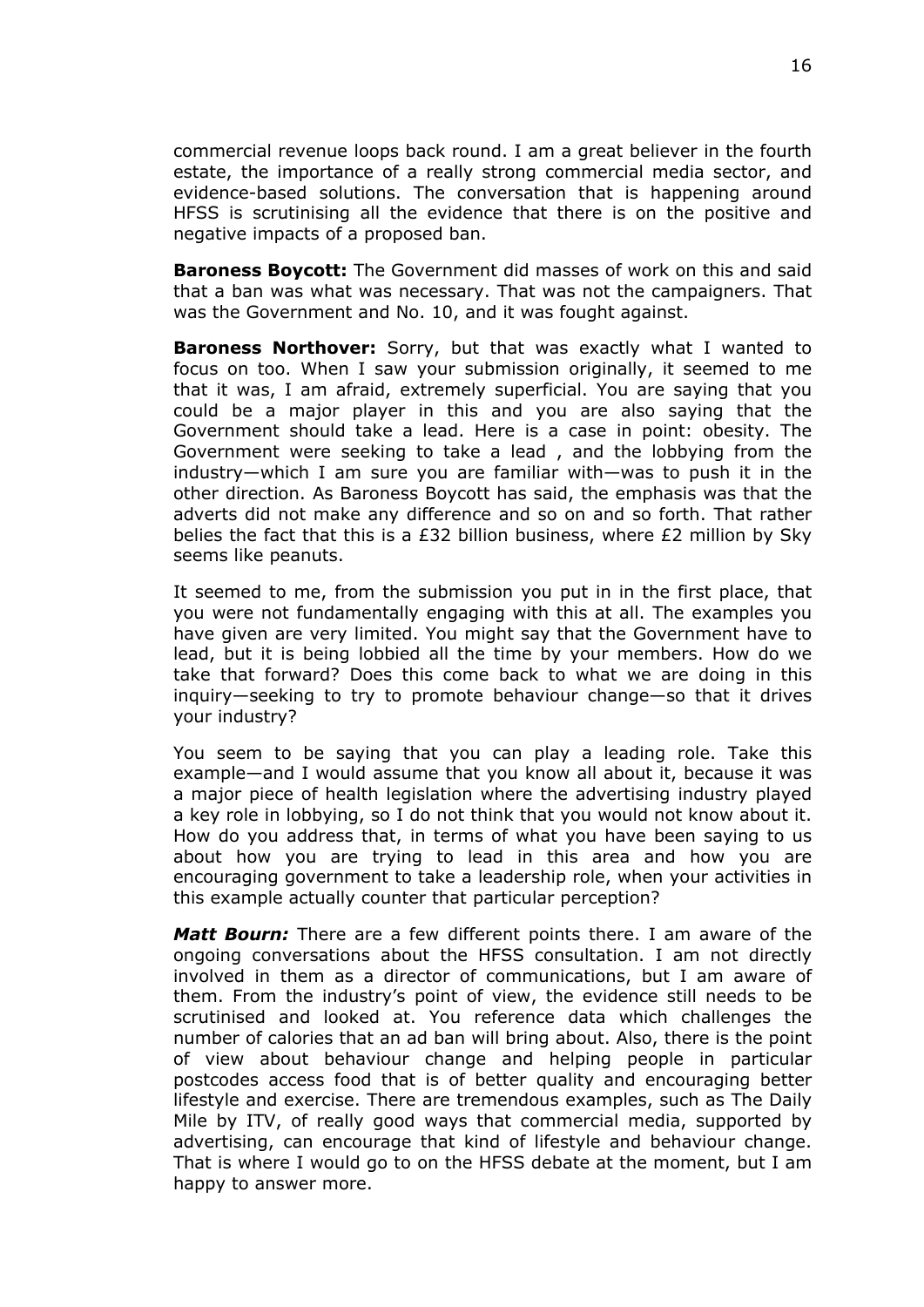commercial revenue loops back round. I am a great believer in the fourth estate, the importance of a really strong commercial media sector, and evidence-based solutions. The conversation that is happening around HFSS is scrutinising all the evidence that there is on the positive and negative impacts of a proposed ban.

**Baroness Boycott:** The Government did masses of work on this and said that a ban was what was necessary. That was not the campaigners. That was the Government and No. 10, and it was fought against.

**Baroness Northover:** Sorry, but that was exactly what I wanted to focus on too. When I saw your submission originally, it seemed to me that it was, I am afraid, extremely superficial. You are saying that you could be a major player in this and you are also saying that the Government should take a lead. Here is a case in point: obesity. The Government were seeking to take a lead , and the lobbying from the industry—which I am sure you are familiar with—was to push it in the other direction. As Baroness Boycott has said, the emphasis was that the adverts did not make any difference and so on and so forth. That rather belies the fact that this is a £32 billion business, where £2 million by Sky seems like peanuts.

It seemed to me, from the submission you put in in the first place, that you were not fundamentally engaging with this at all. The examples you have given are very limited. You might say that the Government have to lead, but it is being lobbied all the time by your members. How do we take that forward? Does this come back to what we are doing in this inquiry—seeking to try to promote behaviour change—so that it drives your industry?

You seem to be saying that you can play a leading role. Take this example—and I would assume that you know all about it, because it was a major piece of health legislation where the advertising industry played a key role in lobbying, so I do not think that you would not know about it. How do you address that, in terms of what you have been saying to us about how you are trying to lead in this area and how you are encouraging government to take a leadership role, when your activities in this example actually counter that particular perception?

*Matt Bourn:* There are a few different points there. I am aware of the ongoing conversations about the HFSS consultation. I am not directly involved in them as a director of communications, but I am aware of them. From the industry's point of view, the evidence still needs to be scrutinised and looked at. You reference data which challenges the number of calories that an ad ban will bring about. Also, there is the point of view about behaviour change and helping people in particular postcodes access food that is of better quality and encouraging better lifestyle and exercise. There are tremendous examples, such as The Daily Mile by ITV, of really good ways that commercial media, supported by advertising, can encourage that kind of lifestyle and behaviour change. That is where I would go to on the HFSS debate at the moment, but I am happy to answer more.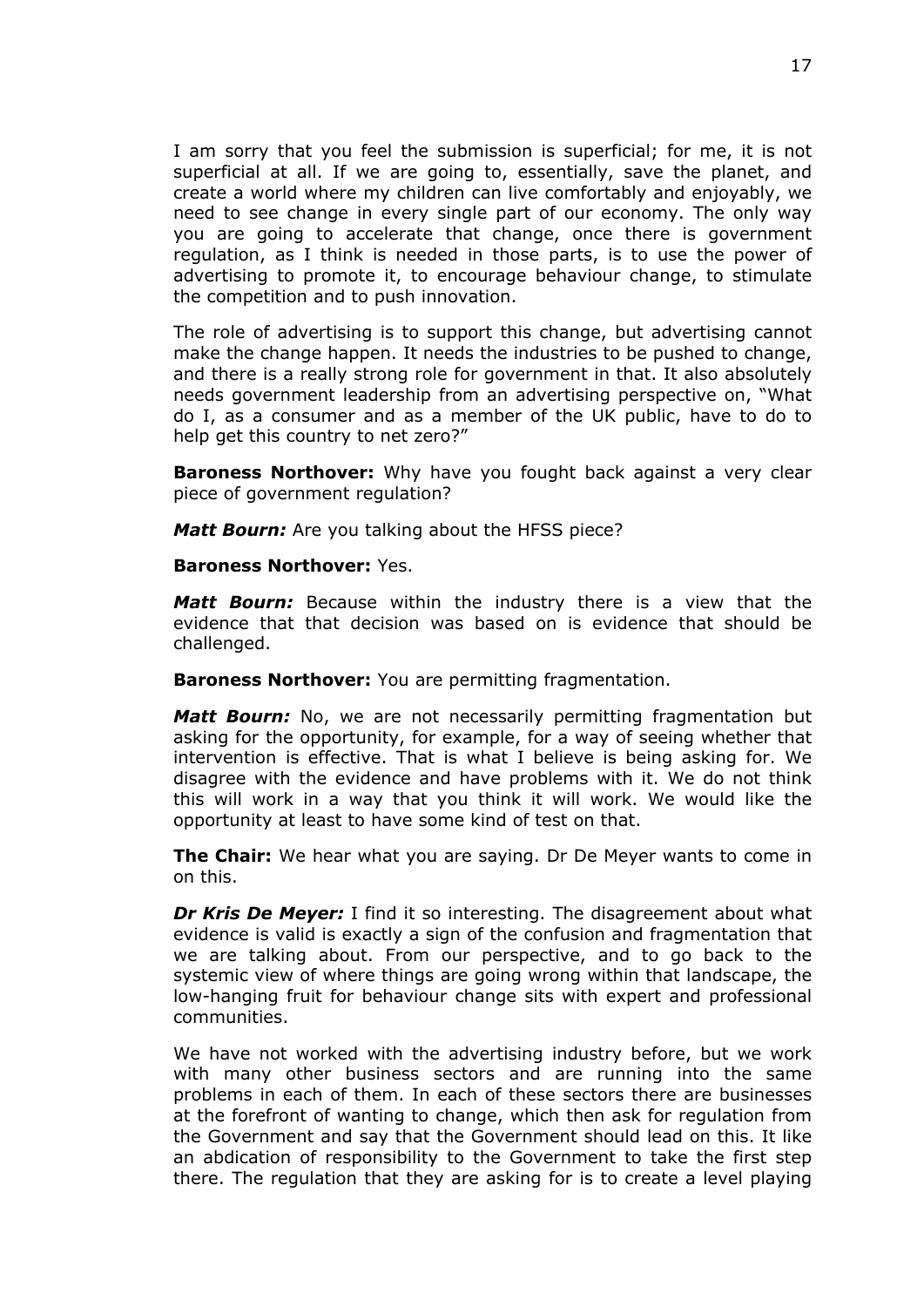I am sorry that you feel the submission is superficial; for me, it is not superficial at all. If we are going to, essentially, save the planet, and create a world where my children can live comfortably and enjoyably, we need to see change in every single part of our economy. The only way you are going to accelerate that change, once there is government regulation, as I think is needed in those parts, is to use the power of advertising to promote it, to encourage behaviour change, to stimulate the competition and to push innovation.

The role of advertising is to support this change, but advertising cannot make the change happen. It needs the industries to be pushed to change, and there is a really strong role for government in that. It also absolutely needs government leadership from an advertising perspective on, "What do I, as a consumer and as a member of the UK public, have to do to help get this country to net zero?"

**Baroness Northover:** Why have you fought back against a very clear piece of government regulation?

*Matt Bourn:* Are you talking about the HFSS piece?

### **Baroness Northover:** Yes.

*Matt Bourn:* Because within the industry there is a view that the evidence that that decision was based on is evidence that should be challenged.

**Baroness Northover:** You are permitting fragmentation.

*Matt Bourn:* No, we are not necessarily permitting fragmentation but asking for the opportunity, for example, for a way of seeing whether that intervention is effective. That is what I believe is being asking for. We disagree with the evidence and have problems with it. We do not think this will work in a way that you think it will work. We would like the opportunity at least to have some kind of test on that.

**The Chair:** We hear what you are saying. Dr De Meyer wants to come in on this.

*Dr Kris De Meyer:* I find it so interesting. The disagreement about what evidence is valid is exactly a sign of the confusion and fragmentation that we are talking about. From our perspective, and to go back to the systemic view of where things are going wrong within that landscape, the low-hanging fruit for behaviour change sits with expert and professional communities.

We have not worked with the advertising industry before, but we work with many other business sectors and are running into the same problems in each of them. In each of these sectors there are businesses at the forefront of wanting to change, which then ask for regulation from the Government and say that the Government should lead on this. It like an abdication of responsibility to the Government to take the first step there. The regulation that they are asking for is to create a level playing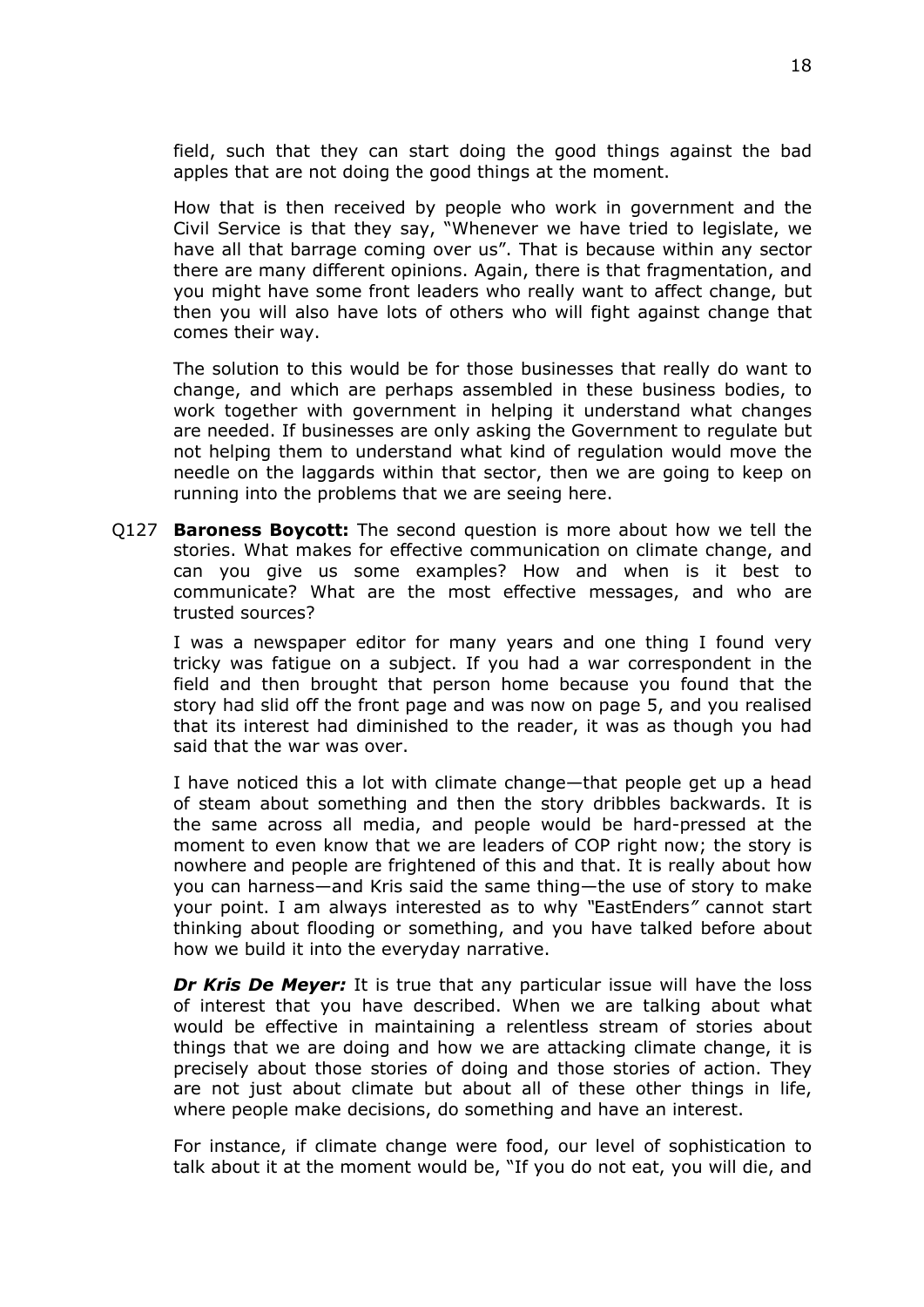field, such that they can start doing the good things against the bad apples that are not doing the good things at the moment.

How that is then received by people who work in government and the Civil Service is that they say, "Whenever we have tried to legislate, we have all that barrage coming over us". That is because within any sector there are many different opinions. Again, there is that fragmentation, and you might have some front leaders who really want to affect change, but then you will also have lots of others who will fight against change that comes their way.

The solution to this would be for those businesses that really do want to change, and which are perhaps assembled in these business bodies, to work together with government in helping it understand what changes are needed. If businesses are only asking the Government to regulate but not helping them to understand what kind of regulation would move the needle on the laggards within that sector, then we are going to keep on running into the problems that we are seeing here.

Q127 **Baroness Boycott:** The second question is more about how we tell the stories. What makes for effective communication on climate change, and can you give us some examples? How and when is it best to communicate? What are the most effective messages, and who are trusted sources?

I was a newspaper editor for many years and one thing I found very tricky was fatigue on a subject. If you had a war correspondent in the field and then brought that person home because you found that the story had slid off the front page and was now on page 5, and you realised that its interest had diminished to the reader, it was as though you had said that the war was over.

I have noticed this a lot with climate change—that people get up a head of steam about something and then the story dribbles backwards. It is the same across all media, and people would be hard-pressed at the moment to even know that we are leaders of COP right now; the story is nowhere and people are frightened of this and that. It is really about how you can harness—and Kris said the same thing—the use of story to make your point. I am always interested as to why *"*EastEnders*"* cannot start thinking about flooding or something, and you have talked before about how we build it into the everyday narrative.

*Dr Kris De Meyer:* It is true that any particular issue will have the loss of interest that you have described. When we are talking about what would be effective in maintaining a relentless stream of stories about things that we are doing and how we are attacking climate change, it is precisely about those stories of doing and those stories of action. They are not just about climate but about all of these other things in life, where people make decisions, do something and have an interest.

For instance, if climate change were food, our level of sophistication to talk about it at the moment would be, "If you do not eat, you will die, and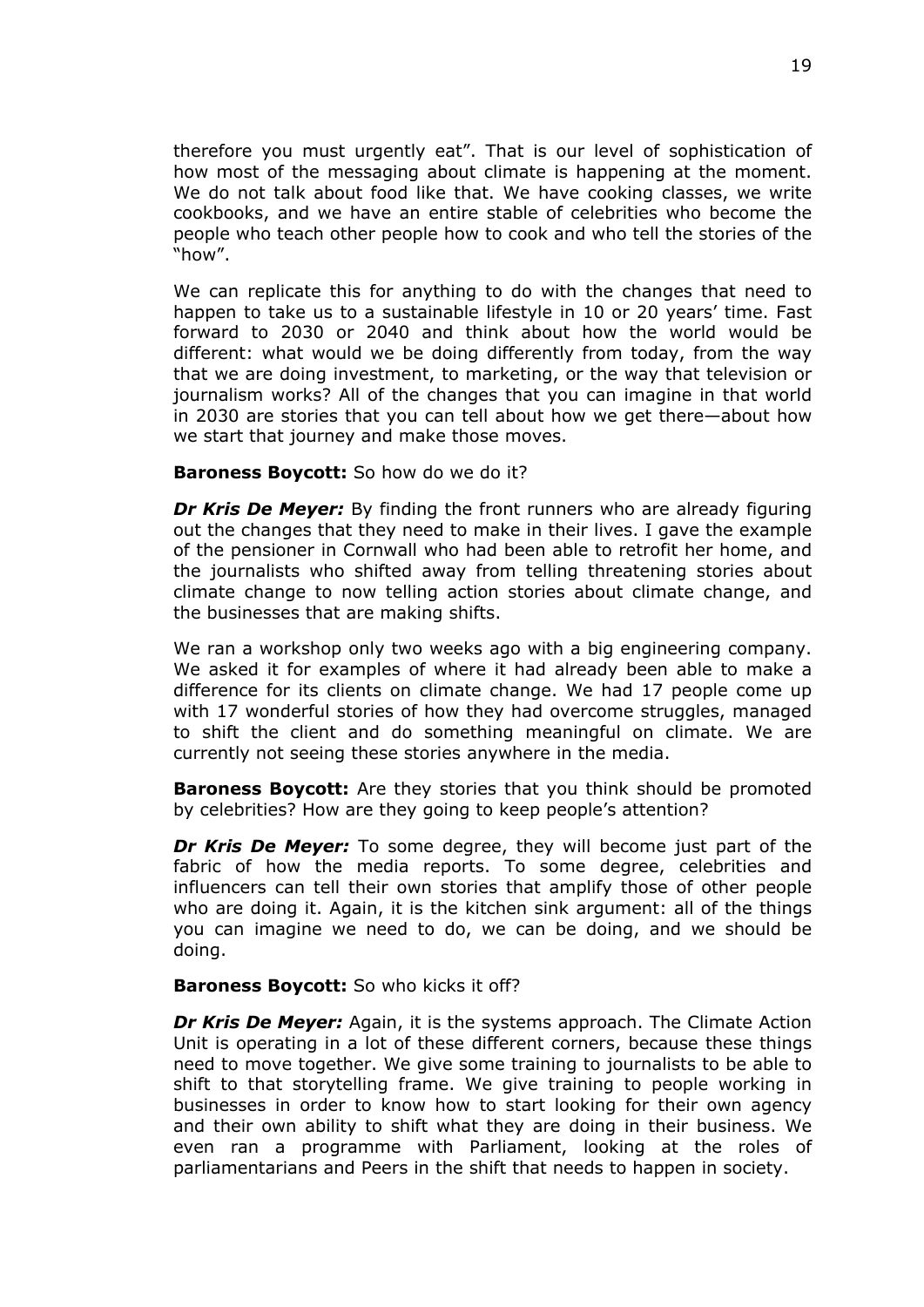therefore you must urgently eat". That is our level of sophistication of how most of the messaging about climate is happening at the moment. We do not talk about food like that. We have cooking classes, we write cookbooks, and we have an entire stable of celebrities who become the people who teach other people how to cook and who tell the stories of the "how".

We can replicate this for anything to do with the changes that need to happen to take us to a sustainable lifestyle in 10 or 20 years' time. Fast forward to 2030 or 2040 and think about how the world would be different: what would we be doing differently from today, from the way that we are doing investment, to marketing, or the way that television or journalism works? All of the changes that you can imagine in that world in 2030 are stories that you can tell about how we get there—about how we start that journey and make those moves.

### **Baroness Boycott:** So how do we do it?

*Dr Kris De Meyer:* By finding the front runners who are already figuring out the changes that they need to make in their lives. I gave the example of the pensioner in Cornwall who had been able to retrofit her home, and the journalists who shifted away from telling threatening stories about climate change to now telling action stories about climate change, and the businesses that are making shifts.

We ran a workshop only two weeks ago with a big engineering company. We asked it for examples of where it had already been able to make a difference for its clients on climate change. We had 17 people come up with 17 wonderful stories of how they had overcome struggles, managed to shift the client and do something meaningful on climate. We are currently not seeing these stories anywhere in the media.

**Baroness Boycott:** Are they stories that you think should be promoted by celebrities? How are they going to keep people's attention?

*Dr Kris De Meyer:* To some degree, they will become just part of the fabric of how the media reports. To some degree, celebrities and influencers can tell their own stories that amplify those of other people who are doing it. Again, it is the kitchen sink argument: all of the things you can imagine we need to do, we can be doing, and we should be doing.

#### **Baroness Boycott:** So who kicks it off?

*Dr Kris De Meyer:* Again, it is the systems approach. The Climate Action Unit is operating in a lot of these different corners, because these things need to move together. We give some training to journalists to be able to shift to that storytelling frame. We give training to people working in businesses in order to know how to start looking for their own agency and their own ability to shift what they are doing in their business. We even ran a programme with Parliament, looking at the roles of parliamentarians and Peers in the shift that needs to happen in society.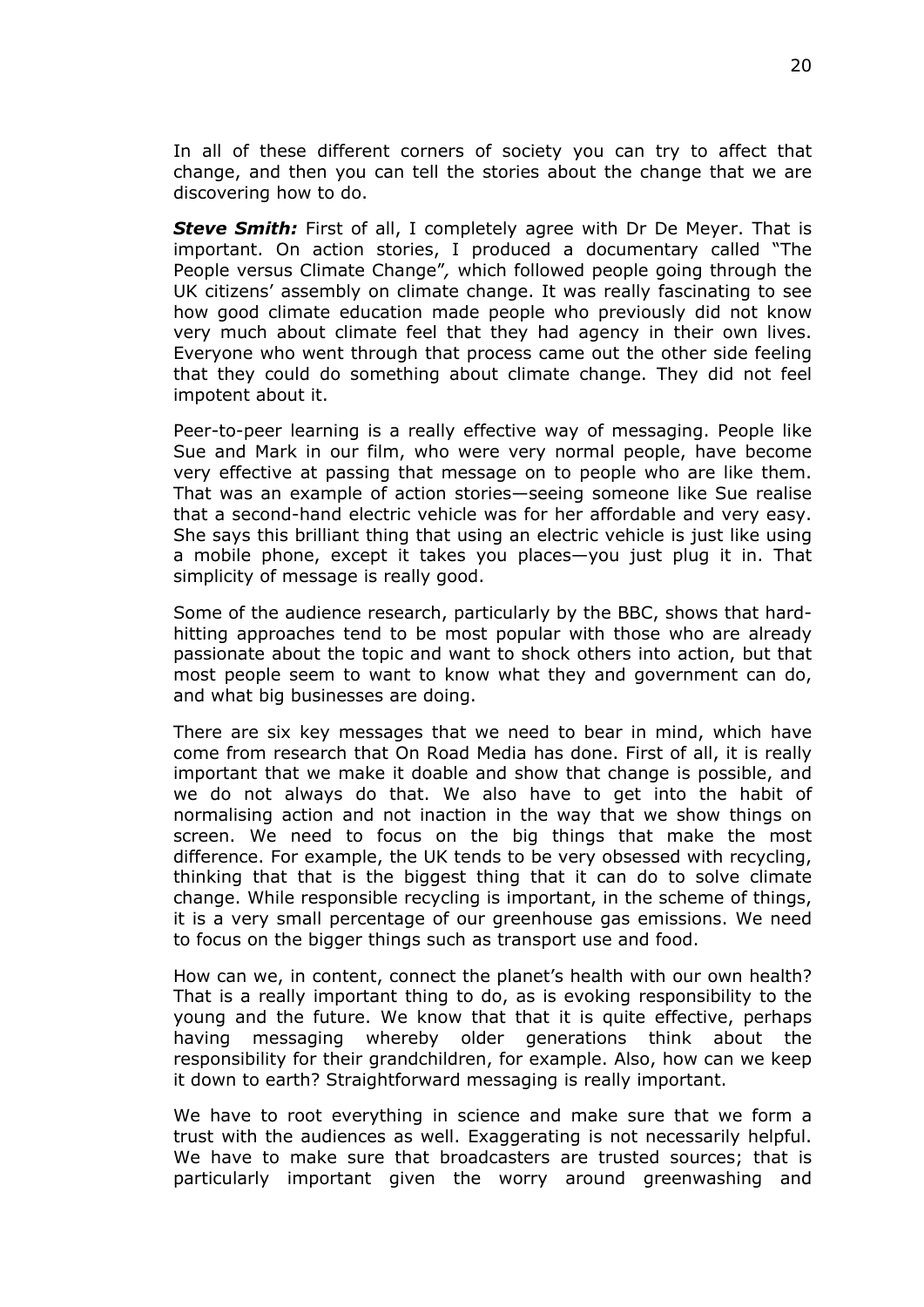In all of these different corners of society you can try to affect that change, and then you can tell the stories about the change that we are discovering how to do.

**Steve Smith:** First of all, I completely agree with Dr De Meyer. That is important. On action stories, I produced a documentary called "The People versus Climate Change"*,* which followed people going through the UK citizens' assembly on climate change. It was really fascinating to see how good climate education made people who previously did not know very much about climate feel that they had agency in their own lives. Everyone who went through that process came out the other side feeling that they could do something about climate change. They did not feel impotent about it.

Peer-to-peer learning is a really effective way of messaging. People like Sue and Mark in our film, who were very normal people, have become very effective at passing that message on to people who are like them. That was an example of action stories—seeing someone like Sue realise that a second-hand electric vehicle was for her affordable and very easy. She says this brilliant thing that using an electric vehicle is just like using a mobile phone, except it takes you places—you just plug it in. That simplicity of message is really good.

Some of the audience research, particularly by the BBC, shows that hardhitting approaches tend to be most popular with those who are already passionate about the topic and want to shock others into action, but that most people seem to want to know what they and government can do, and what big businesses are doing.

There are six key messages that we need to bear in mind, which have come from research that On Road Media has done. First of all, it is really important that we make it doable and show that change is possible, and we do not always do that. We also have to get into the habit of normalising action and not inaction in the way that we show things on screen. We need to focus on the big things that make the most difference. For example, the UK tends to be very obsessed with recycling, thinking that that is the biggest thing that it can do to solve climate change. While responsible recycling is important, in the scheme of things, it is a very small percentage of our greenhouse gas emissions. We need to focus on the bigger things such as transport use and food.

How can we, in content, connect the planet's health with our own health? That is a really important thing to do, as is evoking responsibility to the young and the future. We know that that it is quite effective, perhaps having messaging whereby older generations think about the responsibility for their grandchildren, for example. Also, how can we keep it down to earth? Straightforward messaging is really important.

We have to root everything in science and make sure that we form a trust with the audiences as well. Exaggerating is not necessarily helpful. We have to make sure that broadcasters are trusted sources; that is particularly important given the worry around greenwashing and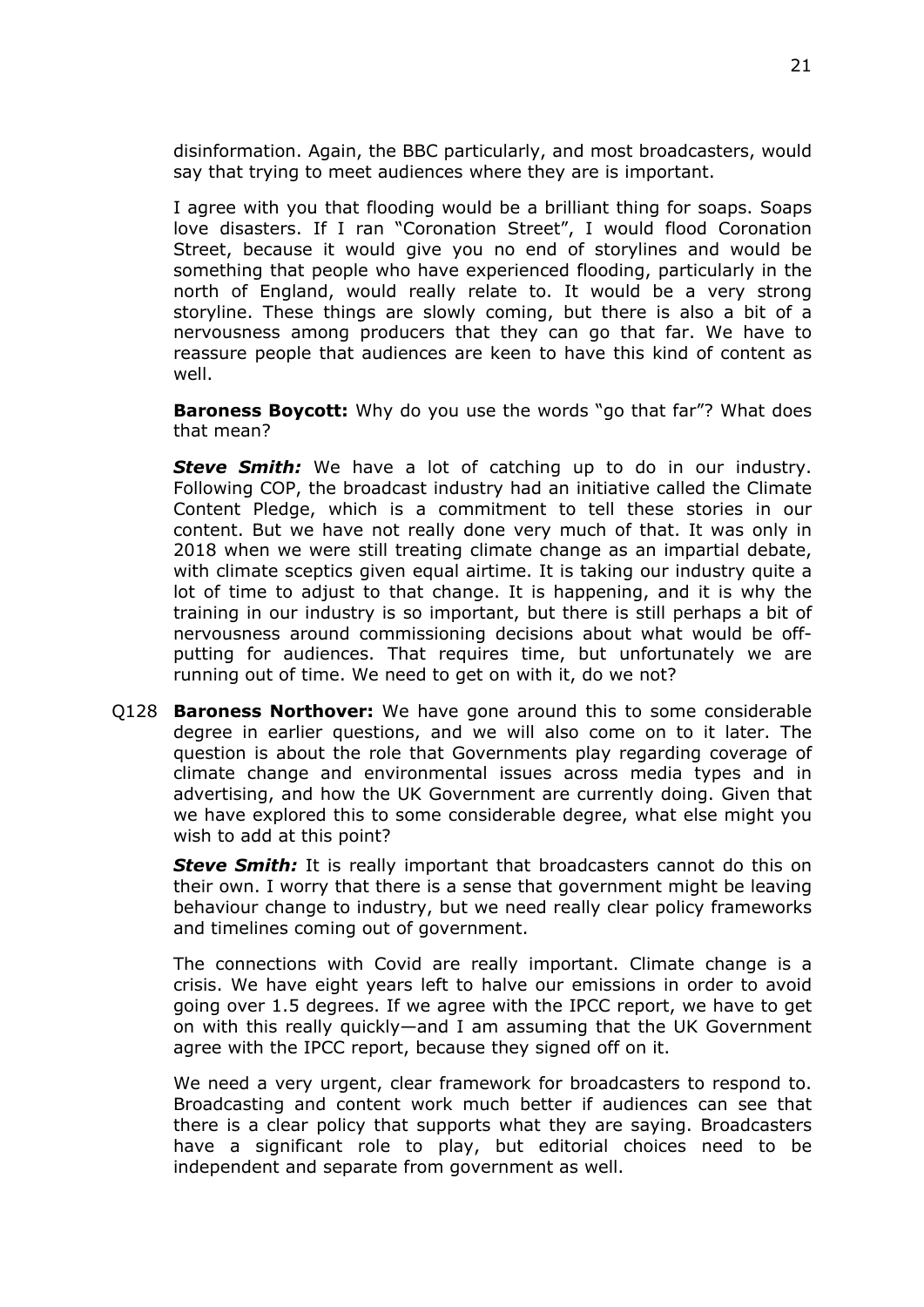disinformation. Again, the BBC particularly, and most broadcasters, would say that trying to meet audiences where they are is important.

I agree with you that flooding would be a brilliant thing for soaps. Soaps love disasters. If I ran "Coronation Street", I would flood Coronation Street, because it would give you no end of storylines and would be something that people who have experienced flooding, particularly in the north of England, would really relate to. It would be a very strong storyline. These things are slowly coming, but there is also a bit of a nervousness among producers that they can go that far. We have to reassure people that audiences are keen to have this kind of content as well.

**Baroness Boycott:** Why do you use the words "go that far"? What does that mean?

*Steve Smith:* We have a lot of catching up to do in our industry. Following COP, the broadcast industry had an initiative called the Climate Content Pledge, which is a commitment to tell these stories in our content. But we have not really done very much of that. It was only in 2018 when we were still treating climate change as an impartial debate, with climate sceptics given equal airtime. It is taking our industry quite a lot of time to adjust to that change. It is happening, and it is why the training in our industry is so important, but there is still perhaps a bit of nervousness around commissioning decisions about what would be offputting for audiences. That requires time, but unfortunately we are running out of time. We need to get on with it, do we not?

Q128 **Baroness Northover:** We have gone around this to some considerable degree in earlier questions, and we will also come on to it later. The question is about the role that Governments play regarding coverage of climate change and environmental issues across media types and in advertising, and how the UK Government are currently doing. Given that we have explored this to some considerable degree, what else might you wish to add at this point?

*Steve Smith:* It is really important that broadcasters cannot do this on their own. I worry that there is a sense that government might be leaving behaviour change to industry, but we need really clear policy frameworks and timelines coming out of government.

The connections with Covid are really important. Climate change is a crisis. We have eight years left to halve our emissions in order to avoid going over 1.5 degrees. If we agree with the IPCC report, we have to get on with this really quickly—and I am assuming that the UK Government agree with the IPCC report, because they signed off on it.

We need a very urgent, clear framework for broadcasters to respond to. Broadcasting and content work much better if audiences can see that there is a clear policy that supports what they are saying. Broadcasters have a significant role to play, but editorial choices need to be independent and separate from government as well.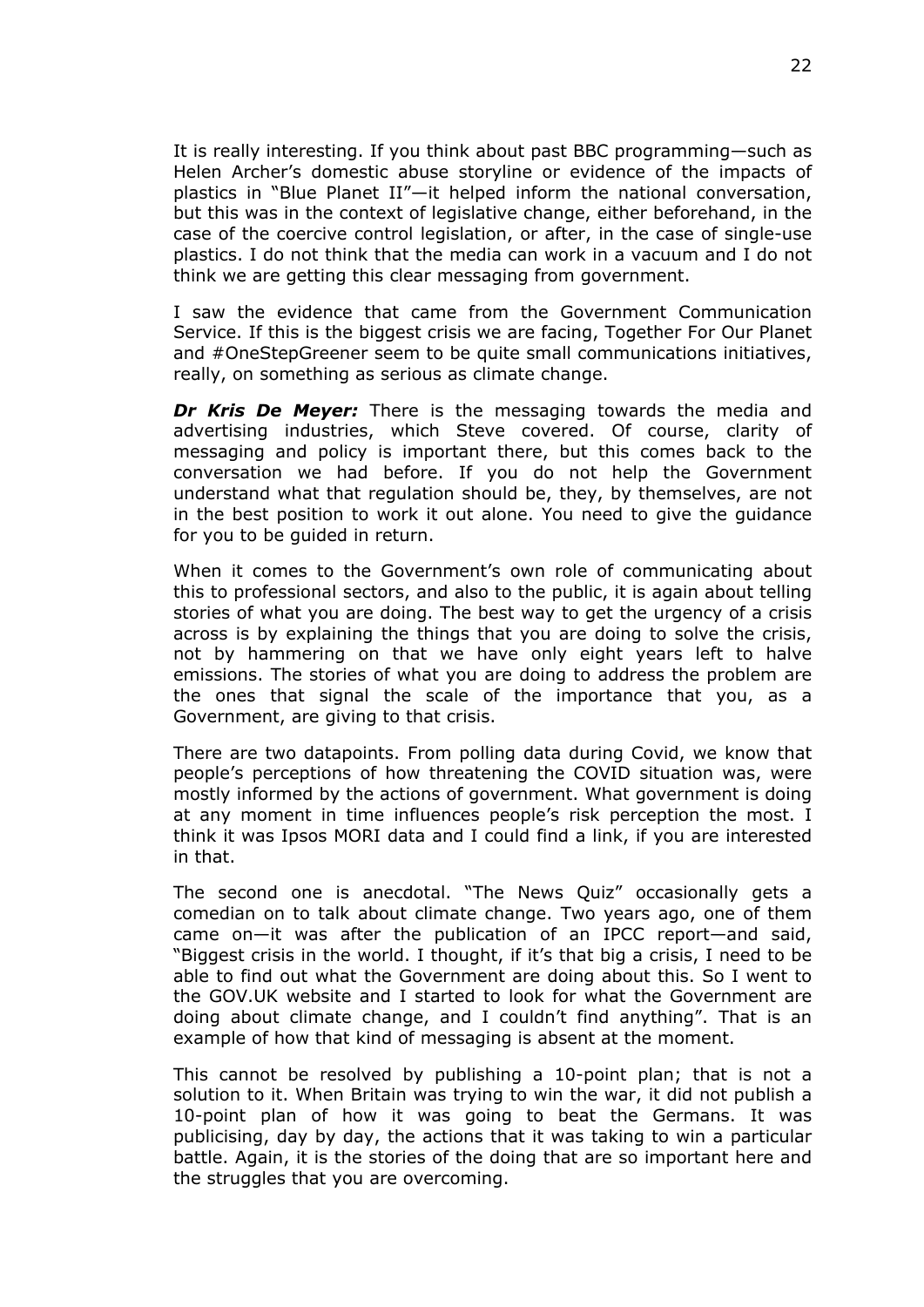It is really interesting. If you think about past BBC programming—such as Helen Archer's domestic abuse storyline or evidence of the impacts of plastics in "Blue Planet II"—it helped inform the national conversation, but this was in the context of legislative change, either beforehand, in the case of the coercive control legislation, or after, in the case of single-use plastics. I do not think that the media can work in a vacuum and I do not think we are getting this clear messaging from government.

I saw the evidence that came from the Government Communication Service. If this is the biggest crisis we are facing, Together For Our Planet and #OneStepGreener seem to be quite small communications initiatives, really, on something as serious as climate change.

*Dr Kris De Meyer:* There is the messaging towards the media and advertising industries, which Steve covered. Of course, clarity of messaging and policy is important there, but this comes back to the conversation we had before. If you do not help the Government understand what that regulation should be, they, by themselves, are not in the best position to work it out alone. You need to give the guidance for you to be guided in return.

When it comes to the Government's own role of communicating about this to professional sectors, and also to the public, it is again about telling stories of what you are doing. The best way to get the urgency of a crisis across is by explaining the things that you are doing to solve the crisis, not by hammering on that we have only eight years left to halve emissions. The stories of what you are doing to address the problem are the ones that signal the scale of the importance that you, as a Government, are giving to that crisis.

There are two datapoints. From polling data during Covid, we know that people's perceptions of how threatening the COVID situation was, were mostly informed by the actions of government. What government is doing at any moment in time influences people's risk perception the most. I think it was Ipsos MORI data and I could find a link, if you are interested in that.

The second one is anecdotal. "The News Quiz" occasionally gets a comedian on to talk about climate change. Two years ago, one of them came on—it was after the publication of an IPCC report—and said, "Biggest crisis in the world. I thought, if it's that big a crisis, I need to be able to find out what the Government are doing about this. So I went to the GOV.UK website and I started to look for what the Government are doing about climate change, and I couldn't find anything". That is an example of how that kind of messaging is absent at the moment.

This cannot be resolved by publishing a 10-point plan; that is not a solution to it. When Britain was trying to win the war, it did not publish a 10-point plan of how it was going to beat the Germans. It was publicising, day by day, the actions that it was taking to win a particular battle. Again, it is the stories of the doing that are so important here and the struggles that you are overcoming.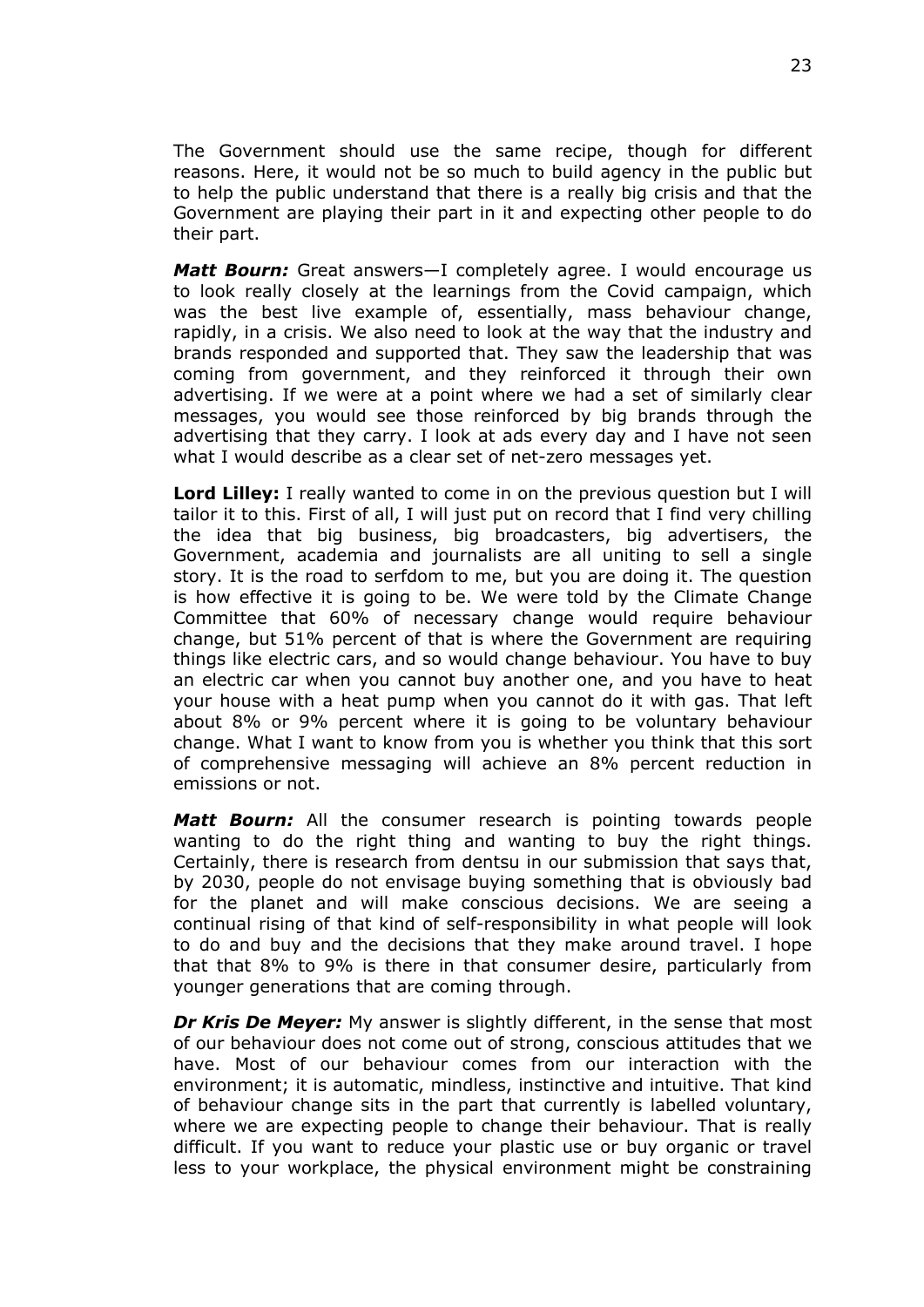The Government should use the same recipe, though for different reasons. Here, it would not be so much to build agency in the public but to help the public understand that there is a really big crisis and that the Government are playing their part in it and expecting other people to do their part.

*Matt Bourn:* Great answers—I completely agree. I would encourage us to look really closely at the learnings from the Covid campaign, which was the best live example of, essentially, mass behaviour change, rapidly, in a crisis. We also need to look at the way that the industry and brands responded and supported that. They saw the leadership that was coming from government, and they reinforced it through their own advertising. If we were at a point where we had a set of similarly clear messages, you would see those reinforced by big brands through the advertising that they carry. I look at ads every day and I have not seen what I would describe as a clear set of net-zero messages yet.

**Lord Lilley:** I really wanted to come in on the previous question but I will tailor it to this. First of all, I will just put on record that I find very chilling the idea that big business, big broadcasters, big advertisers, the Government, academia and journalists are all uniting to sell a single story. It is the road to serfdom to me, but you are doing it. The question is how effective it is going to be. We were told by the Climate Change Committee that 60% of necessary change would require behaviour change, but 51% percent of that is where the Government are requiring things like electric cars, and so would change behaviour. You have to buy an electric car when you cannot buy another one, and you have to heat your house with a heat pump when you cannot do it with gas. That left about 8% or 9% percent where it is going to be voluntary behaviour change. What I want to know from you is whether you think that this sort of comprehensive messaging will achieve an 8% percent reduction in emissions or not.

*Matt Bourn:* All the consumer research is pointing towards people wanting to do the right thing and wanting to buy the right things. Certainly, there is research from dentsu in our submission that savs that. by 2030, people do not envisage buying something that is obviously bad for the planet and will make conscious decisions. We are seeing a continual rising of that kind of self-responsibility in what people will look to do and buy and the decisions that they make around travel. I hope that that 8% to 9% is there in that consumer desire, particularly from younger generations that are coming through.

*Dr Kris De Meyer:* My answer is slightly different, in the sense that most of our behaviour does not come out of strong, conscious attitudes that we have. Most of our behaviour comes from our interaction with the environment; it is automatic, mindless, instinctive and intuitive. That kind of behaviour change sits in the part that currently is labelled voluntary, where we are expecting people to change their behaviour. That is really difficult. If you want to reduce your plastic use or buy organic or travel less to your workplace, the physical environment might be constraining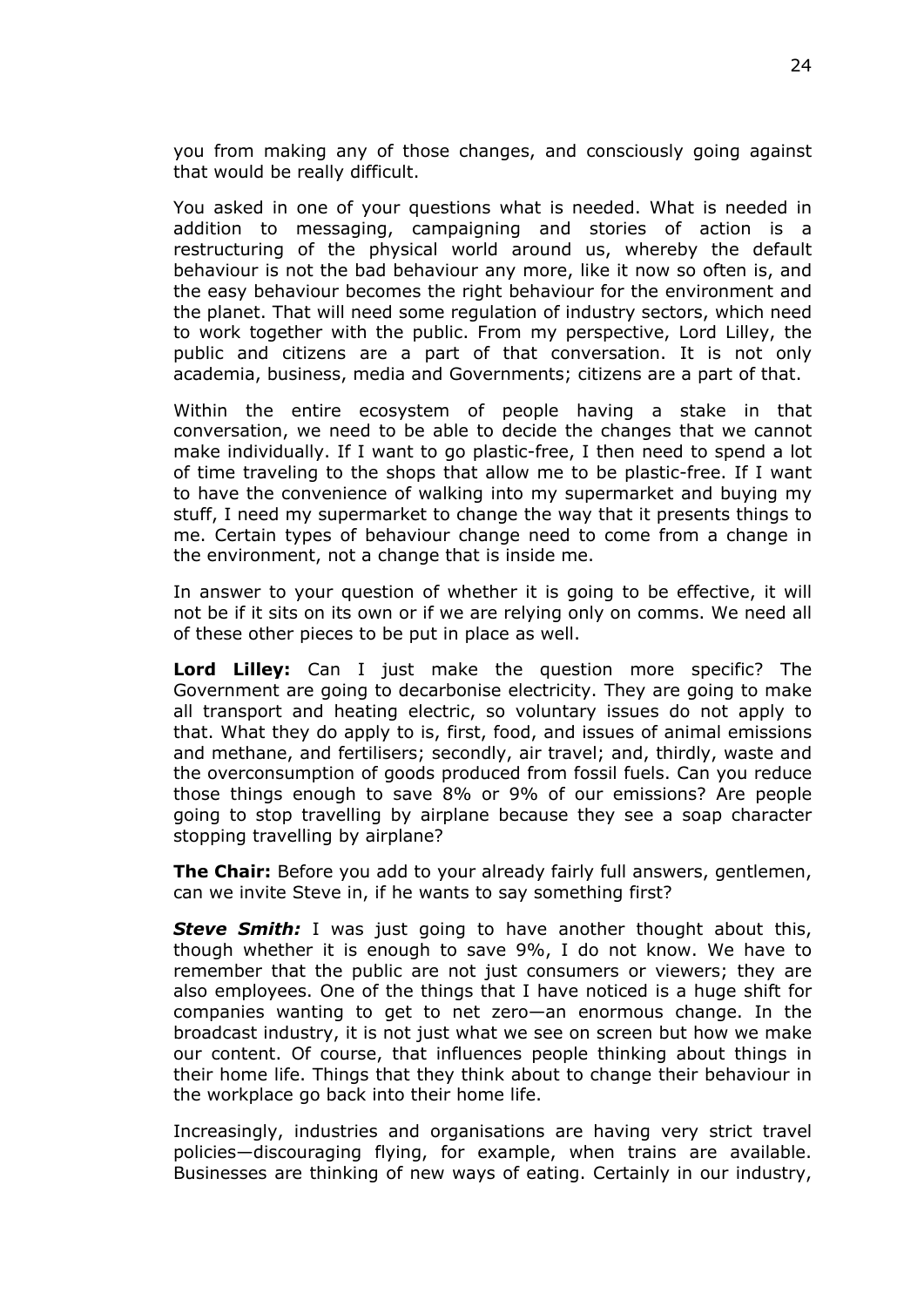you from making any of those changes, and consciously going against that would be really difficult.

You asked in one of your questions what is needed. What is needed in addition to messaging, campaigning and stories of action is a restructuring of the physical world around us, whereby the default behaviour is not the bad behaviour any more, like it now so often is, and the easy behaviour becomes the right behaviour for the environment and the planet. That will need some regulation of industry sectors, which need to work together with the public. From my perspective, Lord Lilley, the public and citizens are a part of that conversation. It is not only academia, business, media and Governments; citizens are a part of that.

Within the entire ecosystem of people having a stake in that conversation, we need to be able to decide the changes that we cannot make individually. If I want to go plastic-free, I then need to spend a lot of time traveling to the shops that allow me to be plastic-free. If I want to have the convenience of walking into my supermarket and buying my stuff, I need my supermarket to change the way that it presents things to me. Certain types of behaviour change need to come from a change in the environment, not a change that is inside me.

In answer to your question of whether it is going to be effective, it will not be if it sits on its own or if we are relying only on comms. We need all of these other pieces to be put in place as well.

**Lord Lilley:** Can I just make the question more specific? The Government are going to decarbonise electricity. They are going to make all transport and heating electric, so voluntary issues do not apply to that. What they do apply to is, first, food, and issues of animal emissions and methane, and fertilisers; secondly, air travel; and, thirdly, waste and the overconsumption of goods produced from fossil fuels. Can you reduce those things enough to save 8% or 9% of our emissions? Are people going to stop travelling by airplane because they see a soap character stopping travelling by airplane?

**The Chair:** Before you add to your already fairly full answers, gentlemen, can we invite Steve in, if he wants to say something first?

**Steve Smith:** I was just going to have another thought about this, though whether it is enough to save 9%, I do not know. We have to remember that the public are not just consumers or viewers; they are also employees. One of the things that I have noticed is a huge shift for companies wanting to get to net zero—an enormous change. In the broadcast industry, it is not just what we see on screen but how we make our content. Of course, that influences people thinking about things in their home life. Things that they think about to change their behaviour in the workplace go back into their home life.

Increasingly, industries and organisations are having very strict travel policies—discouraging flying, for example, when trains are available. Businesses are thinking of new ways of eating. Certainly in our industry,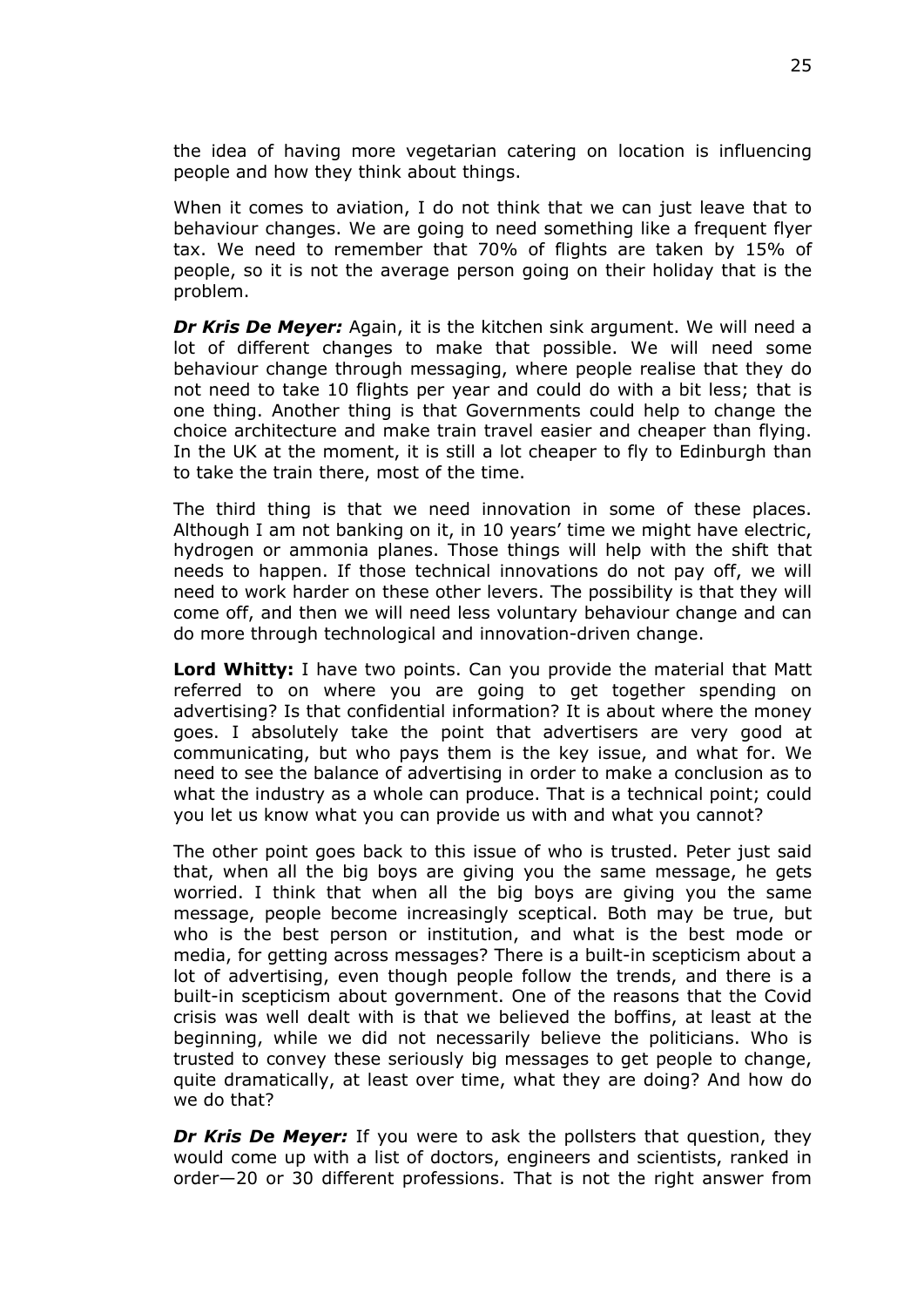the idea of having more vegetarian catering on location is influencing people and how they think about things.

When it comes to aviation, I do not think that we can just leave that to behaviour changes. We are going to need something like a frequent flyer tax. We need to remember that 70% of flights are taken by 15% of people, so it is not the average person going on their holiday that is the problem.

*Dr Kris De Meyer:* Again, it is the kitchen sink argument. We will need a lot of different changes to make that possible. We will need some behaviour change through messaging, where people realise that they do not need to take 10 flights per year and could do with a bit less; that is one thing. Another thing is that Governments could help to change the choice architecture and make train travel easier and cheaper than flying. In the UK at the moment, it is still a lot cheaper to fly to Edinburgh than to take the train there, most of the time.

The third thing is that we need innovation in some of these places. Although I am not banking on it, in 10 years' time we might have electric, hydrogen or ammonia planes. Those things will help with the shift that needs to happen. If those technical innovations do not pay off, we will need to work harder on these other levers. The possibility is that they will come off, and then we will need less voluntary behaviour change and can do more through technological and innovation-driven change.

**Lord Whitty:** I have two points. Can you provide the material that Matt referred to on where you are going to get together spending on advertising? Is that confidential information? It is about where the money goes. I absolutely take the point that advertisers are very good at communicating, but who pays them is the key issue, and what for. We need to see the balance of advertising in order to make a conclusion as to what the industry as a whole can produce. That is a technical point; could you let us know what you can provide us with and what you cannot?

The other point goes back to this issue of who is trusted. Peter just said that, when all the big boys are giving you the same message, he gets worried. I think that when all the big boys are giving you the same message, people become increasingly sceptical. Both may be true, but who is the best person or institution, and what is the best mode or media, for getting across messages? There is a built-in scepticism about a lot of advertising, even though people follow the trends, and there is a built-in scepticism about government. One of the reasons that the Covid crisis was well dealt with is that we believed the boffins, at least at the beginning, while we did not necessarily believe the politicians. Who is trusted to convey these seriously big messages to get people to change, quite dramatically, at least over time, what they are doing? And how do we do that?

*Dr Kris De Meyer:* If you were to ask the pollsters that question, they would come up with a list of doctors, engineers and scientists, ranked in order—20 or 30 different professions. That is not the right answer from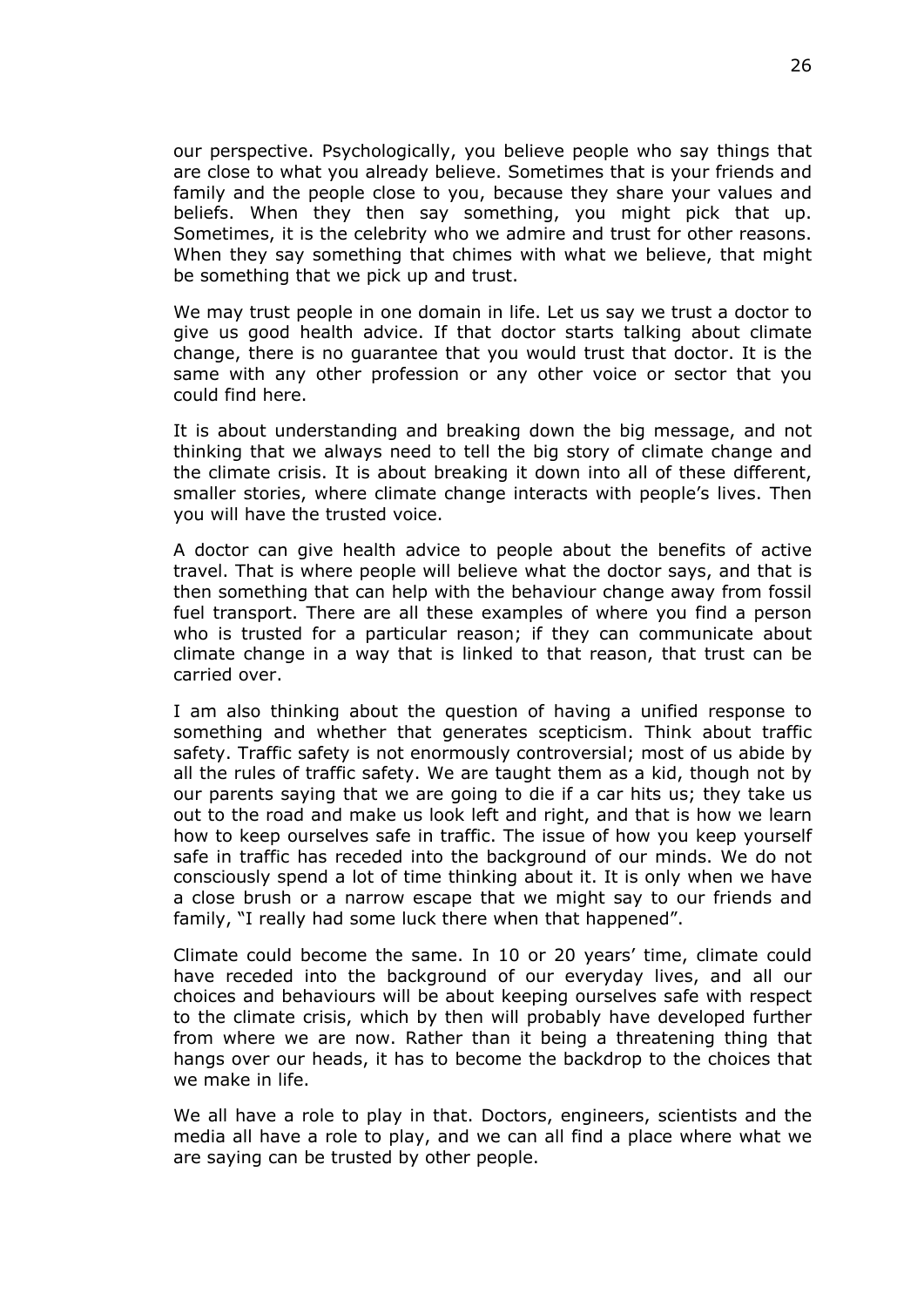our perspective. Psychologically, you believe people who say things that are close to what you already believe. Sometimes that is your friends and family and the people close to you, because they share your values and beliefs. When they then say something, you might pick that up. Sometimes, it is the celebrity who we admire and trust for other reasons. When they say something that chimes with what we believe, that might be something that we pick up and trust.

We may trust people in one domain in life. Let us say we trust a doctor to give us good health advice. If that doctor starts talking about climate change, there is no guarantee that you would trust that doctor. It is the same with any other profession or any other voice or sector that you could find here.

It is about understanding and breaking down the big message, and not thinking that we always need to tell the big story of climate change and the climate crisis. It is about breaking it down into all of these different, smaller stories, where climate change interacts with people's lives. Then you will have the trusted voice.

A doctor can give health advice to people about the benefits of active travel. That is where people will believe what the doctor says, and that is then something that can help with the behaviour change away from fossil fuel transport. There are all these examples of where you find a person who is trusted for a particular reason; if they can communicate about climate change in a way that is linked to that reason, that trust can be carried over.

I am also thinking about the question of having a unified response to something and whether that generates scepticism. Think about traffic safety. Traffic safety is not enormously controversial; most of us abide by all the rules of traffic safety. We are taught them as a kid, though not by our parents saying that we are going to die if a car hits us; they take us out to the road and make us look left and right, and that is how we learn how to keep ourselves safe in traffic. The issue of how you keep yourself safe in traffic has receded into the background of our minds. We do not consciously spend a lot of time thinking about it. It is only when we have a close brush or a narrow escape that we might say to our friends and family, "I really had some luck there when that happened".

Climate could become the same. In 10 or 20 years' time, climate could have receded into the background of our everyday lives, and all our choices and behaviours will be about keeping ourselves safe with respect to the climate crisis, which by then will probably have developed further from where we are now. Rather than it being a threatening thing that hangs over our heads, it has to become the backdrop to the choices that we make in life.

We all have a role to play in that. Doctors, engineers, scientists and the media all have a role to play, and we can all find a place where what we are saying can be trusted by other people.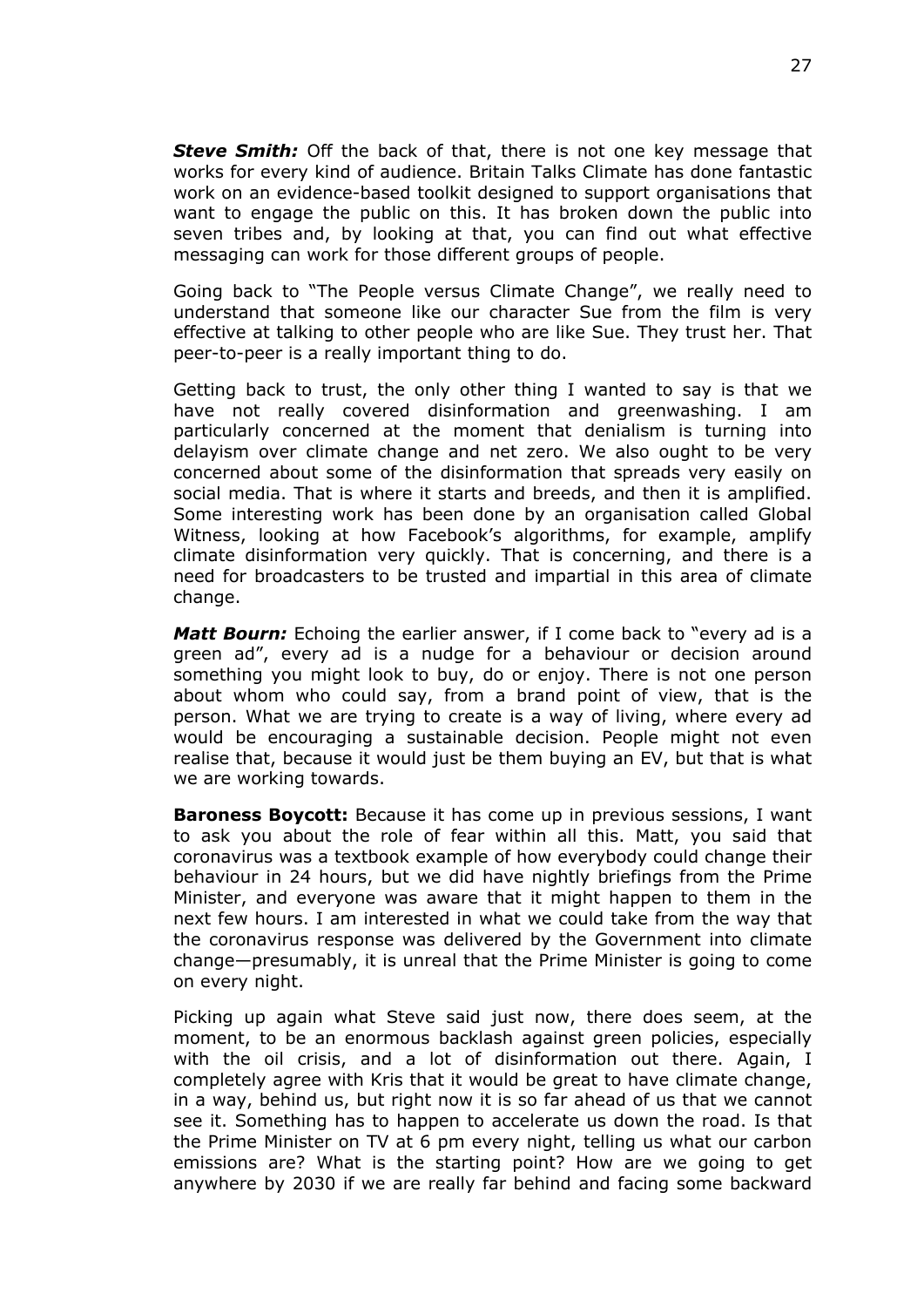*Steve Smith:* Off the back of that, there is not one key message that works for every kind of audience. Britain Talks Climate has done fantastic work on an evidence-based toolkit designed to support organisations that want to engage the public on this. It has broken down the public into seven tribes and, by looking at that, you can find out what effective messaging can work for those different groups of people.

Going back to "The People versus Climate Change", we really need to understand that someone like our character Sue from the film is very effective at talking to other people who are like Sue. They trust her. That peer-to-peer is a really important thing to do.

Getting back to trust, the only other thing I wanted to say is that we have not really covered disinformation and greenwashing. I am particularly concerned at the moment that denialism is turning into delayism over climate change and net zero. We also ought to be very concerned about some of the disinformation that spreads very easily on social media. That is where it starts and breeds, and then it is amplified. Some interesting work has been done by an organisation called Global Witness, looking at how Facebook's algorithms, for example, amplify climate disinformation very quickly. That is concerning, and there is a need for broadcasters to be trusted and impartial in this area of climate change.

*Matt Bourn:* Echoing the earlier answer, if I come back to "every ad is a green ad", every ad is a nudge for a behaviour or decision around something you might look to buy, do or enjoy. There is not one person about whom who could say, from a brand point of view, that is the person. What we are trying to create is a way of living, where every ad would be encouraging a sustainable decision. People might not even realise that, because it would just be them buying an EV, but that is what we are working towards.

**Baroness Boycott:** Because it has come up in previous sessions, I want to ask you about the role of fear within all this. Matt, you said that coronavirus was a textbook example of how everybody could change their behaviour in 24 hours, but we did have nightly briefings from the Prime Minister, and everyone was aware that it might happen to them in the next few hours. I am interested in what we could take from the way that the coronavirus response was delivered by the Government into climate change—presumably, it is unreal that the Prime Minister is going to come on every night.

Picking up again what Steve said just now, there does seem, at the moment, to be an enormous backlash against green policies, especially with the oil crisis, and a lot of disinformation out there. Again, I completely agree with Kris that it would be great to have climate change, in a way, behind us, but right now it is so far ahead of us that we cannot see it. Something has to happen to accelerate us down the road. Is that the Prime Minister on TV at 6 pm every night, telling us what our carbon emissions are? What is the starting point? How are we going to get anywhere by 2030 if we are really far behind and facing some backward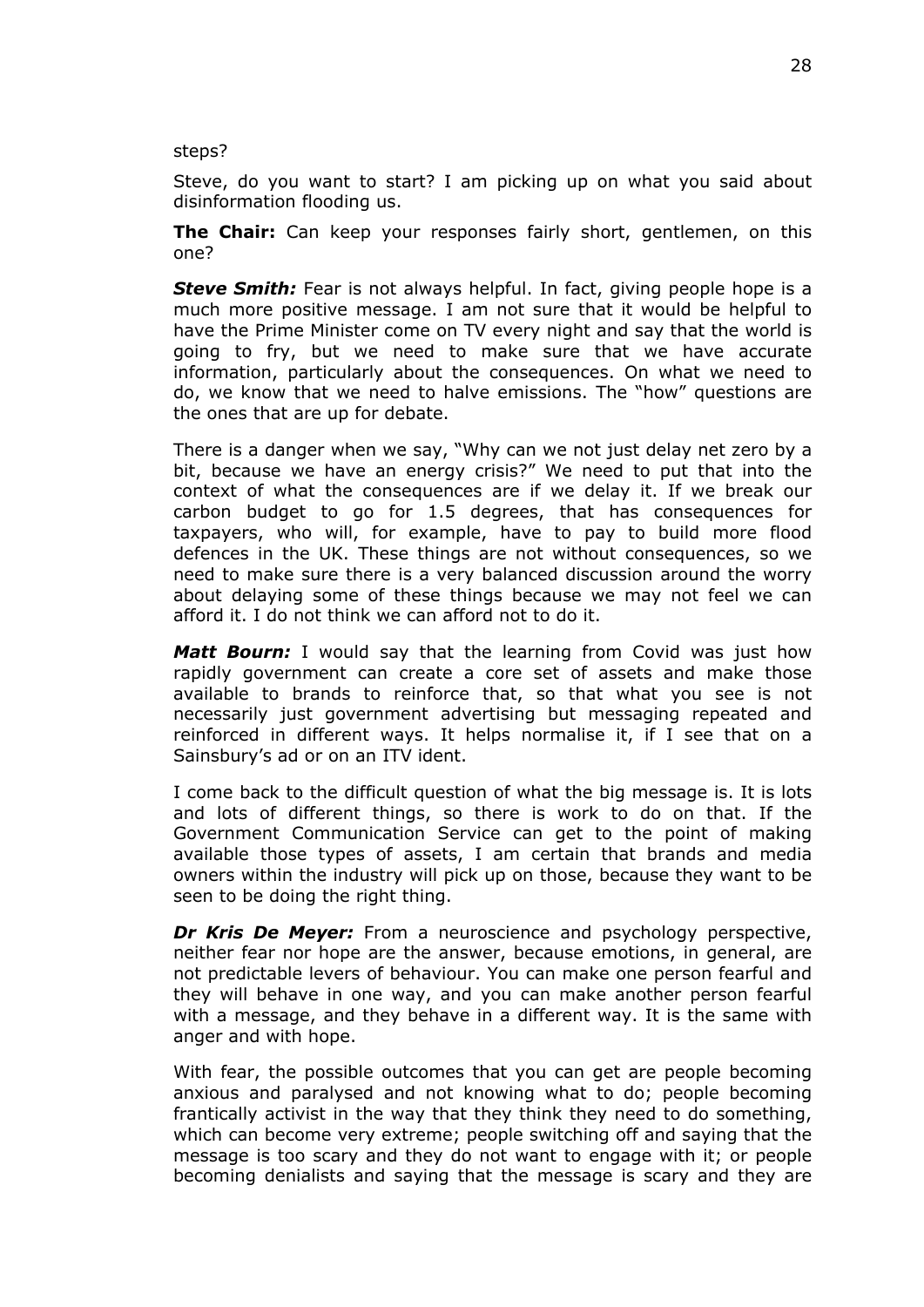steps?

Steve, do you want to start? I am picking up on what you said about disinformation flooding us.

**The Chair:** Can keep your responses fairly short, gentlemen, on this one?

*Steve Smith:* Fear is not always helpful. In fact, giving people hope is a much more positive message. I am not sure that it would be helpful to have the Prime Minister come on TV every night and say that the world is going to fry, but we need to make sure that we have accurate information, particularly about the consequences. On what we need to do, we know that we need to halve emissions. The "how" questions are the ones that are up for debate.

There is a danger when we say, "Why can we not just delay net zero by a bit, because we have an energy crisis?" We need to put that into the context of what the consequences are if we delay it. If we break our carbon budget to go for 1.5 degrees, that has consequences for taxpayers, who will, for example, have to pay to build more flood defences in the UK. These things are not without consequences, so we need to make sure there is a very balanced discussion around the worry about delaying some of these things because we may not feel we can afford it. I do not think we can afford not to do it.

*Matt Bourn:* I would say that the learning from Covid was just how rapidly government can create a core set of assets and make those available to brands to reinforce that, so that what you see is not necessarily just government advertising but messaging repeated and reinforced in different ways. It helps normalise it, if I see that on a Sainsbury's ad or on an ITV ident.

I come back to the difficult question of what the big message is. It is lots and lots of different things, so there is work to do on that. If the Government Communication Service can get to the point of making available those types of assets, I am certain that brands and media owners within the industry will pick up on those, because they want to be seen to be doing the right thing.

*Dr Kris De Meyer:* From a neuroscience and psychology perspective, neither fear nor hope are the answer, because emotions, in general, are not predictable levers of behaviour. You can make one person fearful and they will behave in one way, and you can make another person fearful with a message, and they behave in a different way. It is the same with anger and with hope.

With fear, the possible outcomes that you can get are people becoming anxious and paralysed and not knowing what to do; people becoming frantically activist in the way that they think they need to do something, which can become very extreme; people switching off and saying that the message is too scary and they do not want to engage with it; or people becoming denialists and saying that the message is scary and they are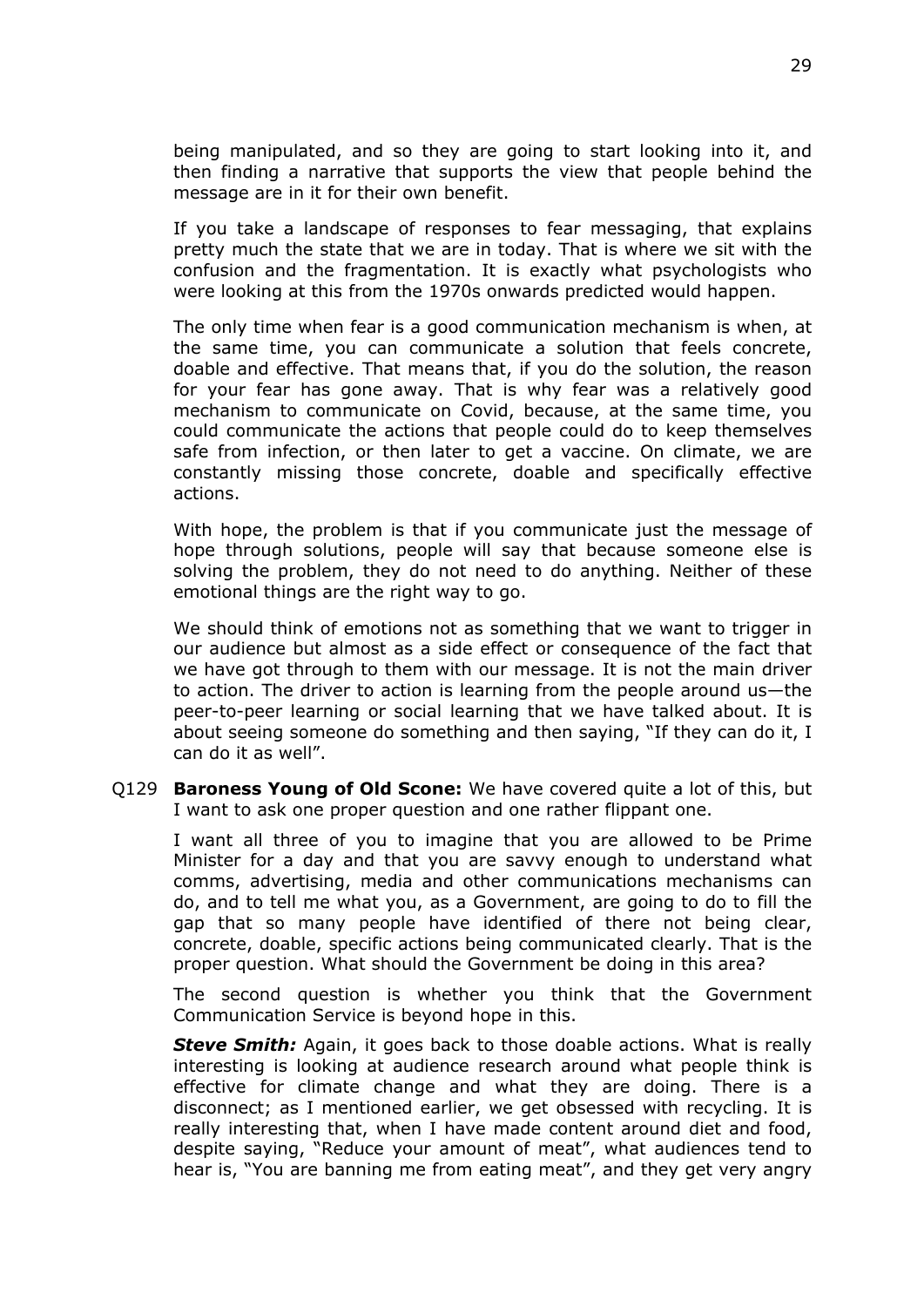being manipulated, and so they are going to start looking into it, and then finding a narrative that supports the view that people behind the message are in it for their own benefit.

If you take a landscape of responses to fear messaging, that explains pretty much the state that we are in today. That is where we sit with the confusion and the fragmentation. It is exactly what psychologists who were looking at this from the 1970s onwards predicted would happen.

The only time when fear is a good communication mechanism is when, at the same time, you can communicate a solution that feels concrete, doable and effective. That means that, if you do the solution, the reason for your fear has gone away. That is why fear was a relatively good mechanism to communicate on Covid, because, at the same time, you could communicate the actions that people could do to keep themselves safe from infection, or then later to get a vaccine. On climate, we are constantly missing those concrete, doable and specifically effective actions.

With hope, the problem is that if you communicate just the message of hope through solutions, people will say that because someone else is solving the problem, they do not need to do anything. Neither of these emotional things are the right way to go.

We should think of emotions not as something that we want to trigger in our audience but almost as a side effect or consequence of the fact that we have got through to them with our message. It is not the main driver to action. The driver to action is learning from the people around us—the peer-to-peer learning or social learning that we have talked about. It is about seeing someone do something and then saying, "If they can do it, I can do it as well".

Q129 **Baroness Young of Old Scone:** We have covered quite a lot of this, but I want to ask one proper question and one rather flippant one.

I want all three of you to imagine that you are allowed to be Prime Minister for a day and that you are savvy enough to understand what comms, advertising, media and other communications mechanisms can do, and to tell me what you, as a Government, are going to do to fill the gap that so many people have identified of there not being clear, concrete, doable, specific actions being communicated clearly. That is the proper question. What should the Government be doing in this area?

The second question is whether you think that the Government Communication Service is beyond hope in this.

*Steve Smith:* Again, it goes back to those doable actions. What is really interesting is looking at audience research around what people think is effective for climate change and what they are doing. There is a disconnect; as I mentioned earlier, we get obsessed with recycling. It is really interesting that, when I have made content around diet and food, despite saying, "Reduce your amount of meat", what audiences tend to hear is, "You are banning me from eating meat", and they get very angry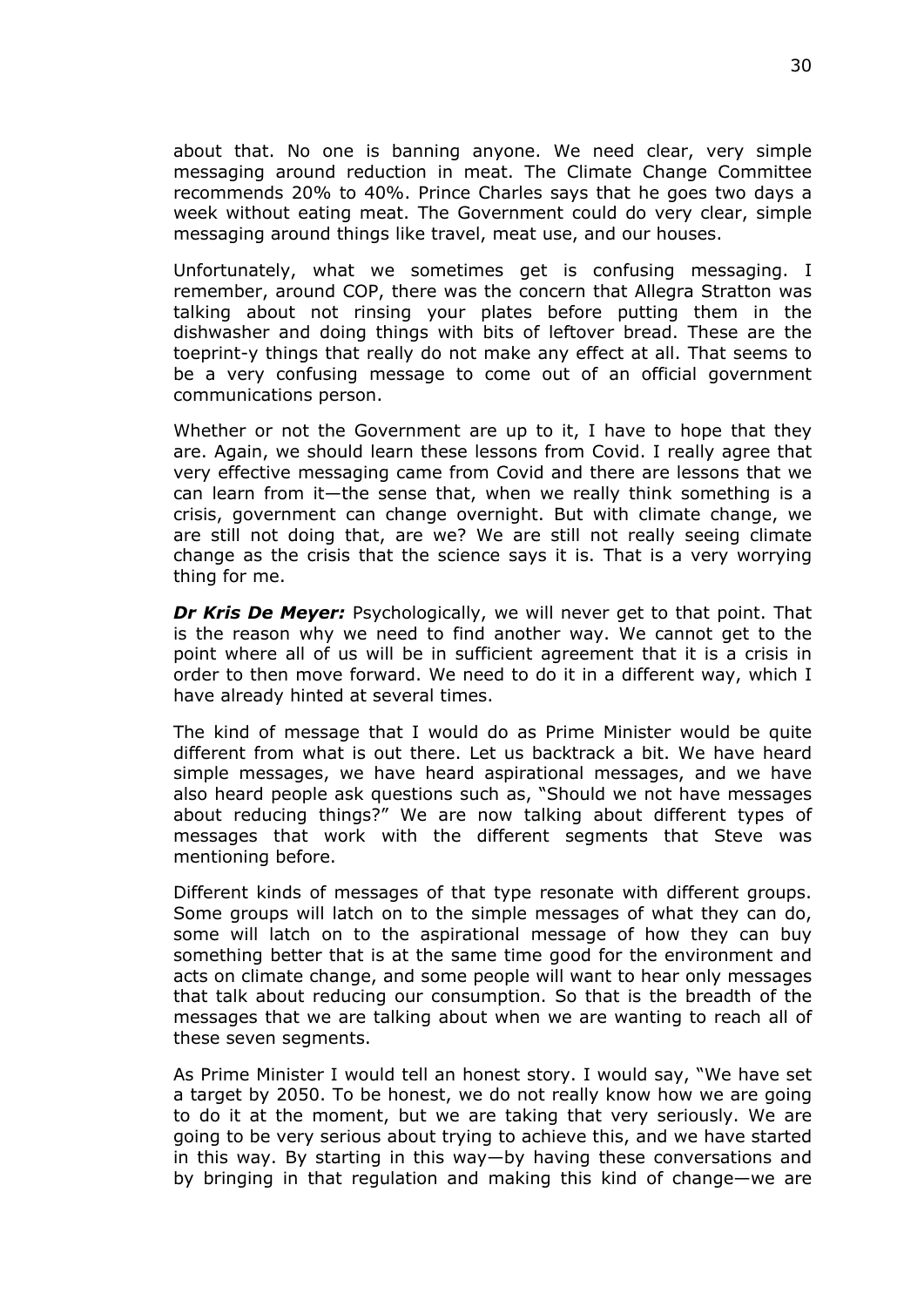about that. No one is banning anyone. We need clear, very simple messaging around reduction in meat. The Climate Change Committee recommends 20% to 40%. Prince Charles says that he goes two days a week without eating meat. The Government could do very clear, simple messaging around things like travel, meat use, and our houses.

Unfortunately, what we sometimes get is confusing messaging. I remember, around COP, there was the concern that Allegra Stratton was talking about not rinsing your plates before putting them in the dishwasher and doing things with bits of leftover bread. These are the toeprint-y things that really do not make any effect at all. That seems to be a very confusing message to come out of an official government communications person.

Whether or not the Government are up to it, I have to hope that they are. Again, we should learn these lessons from Covid. I really agree that very effective messaging came from Covid and there are lessons that we can learn from it—the sense that, when we really think something is a crisis, government can change overnight. But with climate change, we are still not doing that, are we? We are still not really seeing climate change as the crisis that the science says it is. That is a very worrying thing for me.

*Dr Kris De Meyer:* Psychologically, we will never get to that point. That is the reason why we need to find another way. We cannot get to the point where all of us will be in sufficient agreement that it is a crisis in order to then move forward. We need to do it in a different way, which I have already hinted at several times.

The kind of message that I would do as Prime Minister would be quite different from what is out there. Let us backtrack a bit. We have heard simple messages, we have heard aspirational messages, and we have also heard people ask questions such as, "Should we not have messages about reducing things?" We are now talking about different types of messages that work with the different segments that Steve was mentioning before.

Different kinds of messages of that type resonate with different groups. Some groups will latch on to the simple messages of what they can do, some will latch on to the aspirational message of how they can buy something better that is at the same time good for the environment and acts on climate change, and some people will want to hear only messages that talk about reducing our consumption. So that is the breadth of the messages that we are talking about when we are wanting to reach all of these seven segments.

As Prime Minister I would tell an honest story. I would say, "We have set a target by 2050. To be honest, we do not really know how we are going to do it at the moment, but we are taking that very seriously. We are going to be very serious about trying to achieve this, and we have started in this way. By starting in this way—by having these conversations and by bringing in that regulation and making this kind of change—we are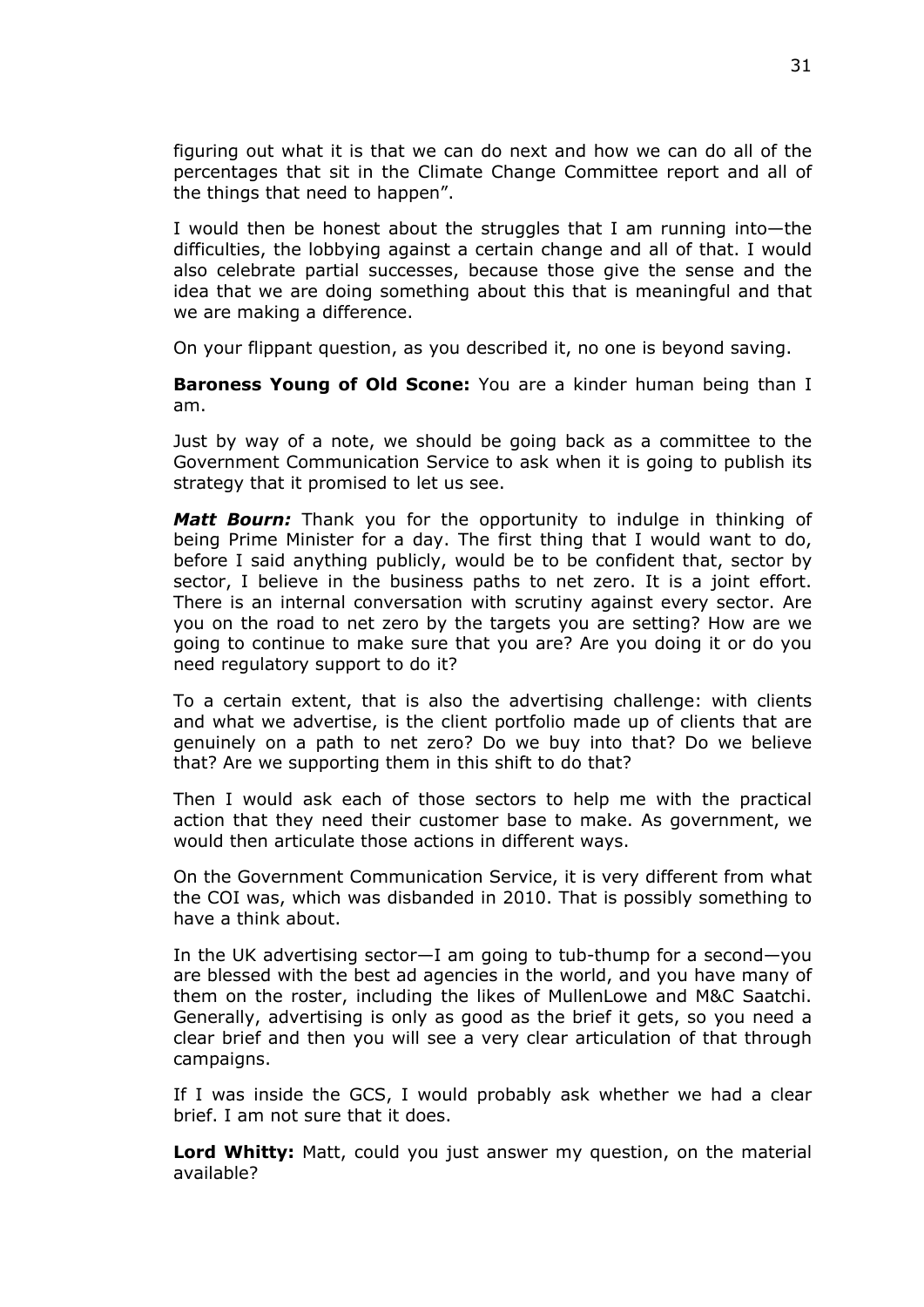figuring out what it is that we can do next and how we can do all of the percentages that sit in the Climate Change Committee report and all of the things that need to happen".

I would then be honest about the struggles that I am running into—the difficulties, the lobbying against a certain change and all of that. I would also celebrate partial successes, because those give the sense and the idea that we are doing something about this that is meaningful and that we are making a difference.

On your flippant question, as you described it, no one is beyond saving.

**Baroness Young of Old Scone:** You are a kinder human being than I am.

Just by way of a note, we should be going back as a committee to the Government Communication Service to ask when it is going to publish its strategy that it promised to let us see.

*Matt Bourn:* Thank you for the opportunity to indulge in thinking of being Prime Minister for a day. The first thing that I would want to do, before I said anything publicly, would be to be confident that, sector by sector, I believe in the business paths to net zero. It is a joint effort. There is an internal conversation with scrutiny against every sector. Are you on the road to net zero by the targets you are setting? How are we going to continue to make sure that you are? Are you doing it or do you need regulatory support to do it?

To a certain extent, that is also the advertising challenge: with clients and what we advertise, is the client portfolio made up of clients that are genuinely on a path to net zero? Do we buy into that? Do we believe that? Are we supporting them in this shift to do that?

Then I would ask each of those sectors to help me with the practical action that they need their customer base to make. As government, we would then articulate those actions in different ways.

On the Government Communication Service, it is very different from what the COI was, which was disbanded in 2010. That is possibly something to have a think about.

In the UK advertising sector—I am going to tub-thump for a second—you are blessed with the best ad agencies in the world, and you have many of them on the roster, including the likes of MullenLowe and M&C Saatchi. Generally, advertising is only as good as the brief it gets, so you need a clear brief and then you will see a very clear articulation of that through campaigns.

If I was inside the GCS, I would probably ask whether we had a clear brief. I am not sure that it does.

**Lord Whitty:** Matt, could you just answer my question, on the material available?